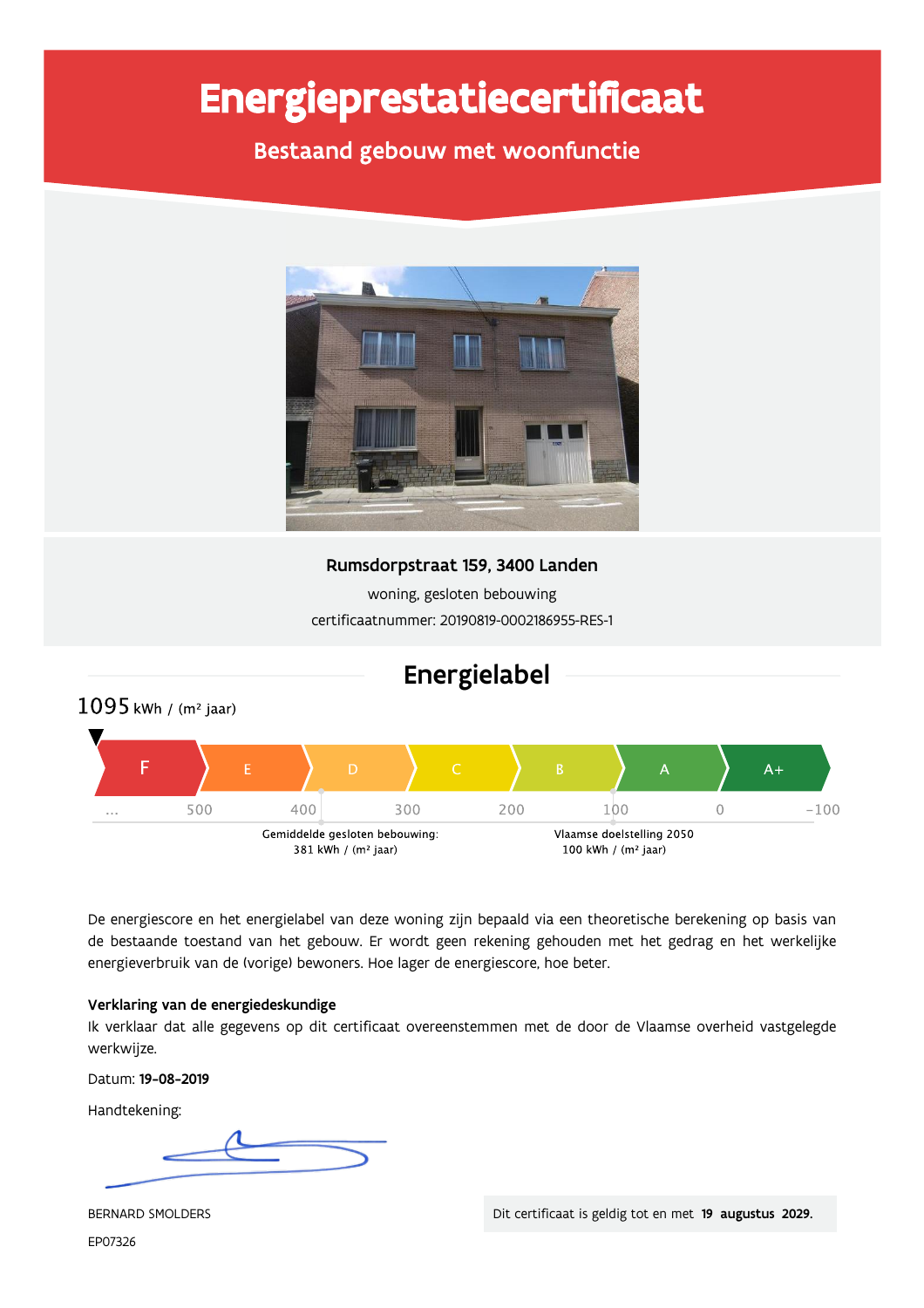# Energieprestatiecertificaat

Bestaand gebouw met woonfunctie



Rumsdorpstraat 159, 3400 Landen

woning, gesloten bebouwing certificaatnummer: 20190819-0002186955-RES-1



De energiescore en het energielabel van deze woning zijn bepaald via een theoretische berekening op basis van de bestaande toestand van het gebouw. Er wordt geen rekening gehouden met het gedrag en het werkelijke energieverbruik van de (vorige) bewoners. Hoe lager de energiescore, hoe beter.

### Verklaring van de energiedeskundige

Ik verklaar dat alle gegevens op dit certificaat overeenstemmen met de door de Vlaamse overheid vastgelegde werkwijze.

Datum: 19-08-2019

Handtekening:

BERNARD SMOLDERS EP07326

Dit certificaat is geldig tot en met 19 augustus 2029.

## Energielabel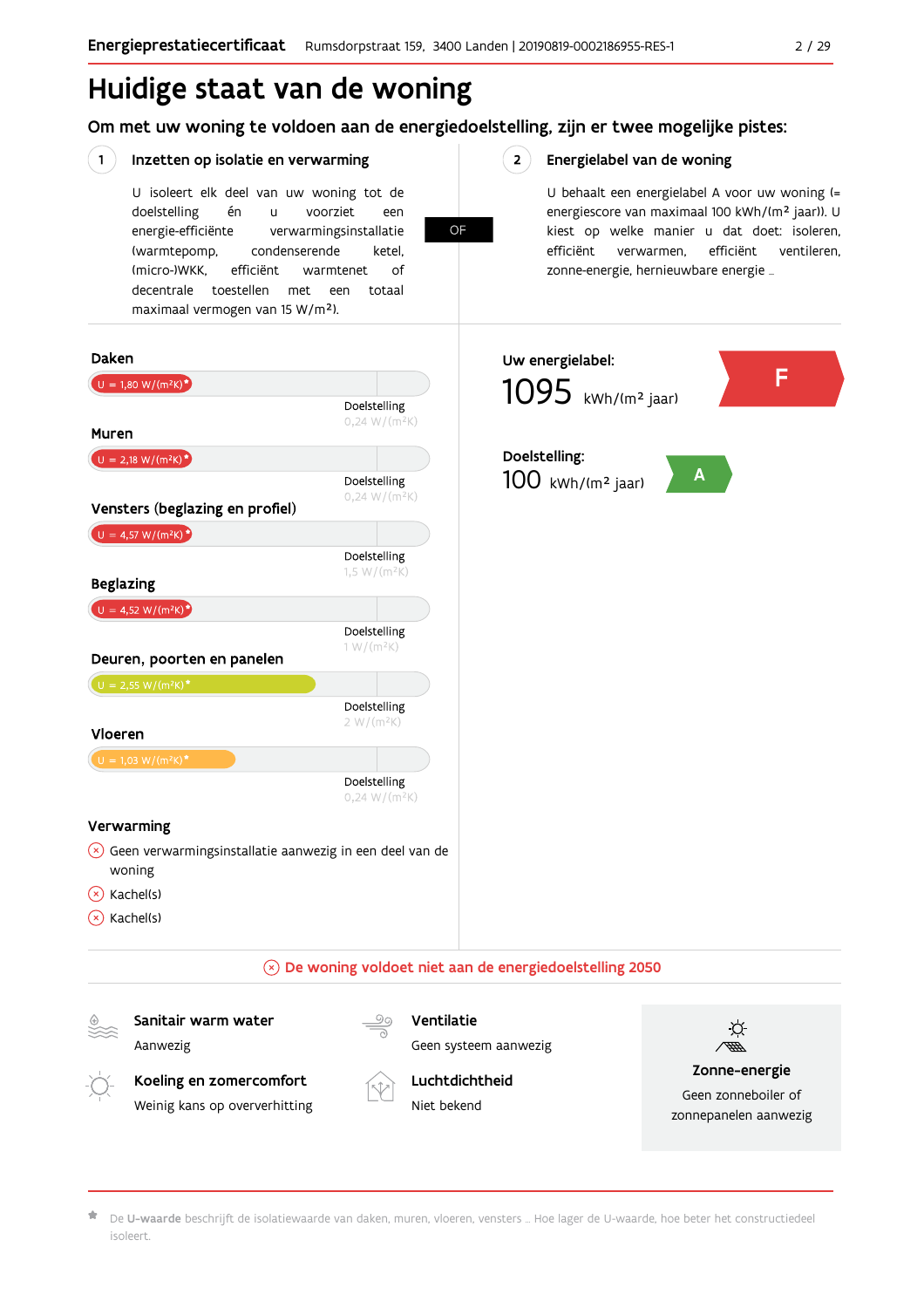## Huidige staat van de woning

Om met uw woning te voldoen aan de energiedoelstelling, zijn er twee mogelijke pistes:

#### $\left( \begin{array}{c} 1 \end{array} \right)$ Inzetten op isolatie en verwarming

Weinig kans op oververhitting

U isoleert elk deel van uw woning tot de doelstelling én  $\mathbf{u}$ voorziet een energie-efficiënte verwarmingsinstallatie (warmtepomp, condenserende ketel, (micro-)WKK. efficiënt warmtenet  $\bigcap_{ }$ decentrale toestellen met een totaal maximaal vermogen van 15 W/m<sup>2</sup>).

**OF** 

 $2^{\circ}$ 

#### Energielabel van de woning

U behaalt een energielabel A voor uw woning (= energiescore van maximaal 100 kWh/(m<sup>2</sup> jaar)). U kiest op welke manier u dat doet: isoleren, efficiënt ventileren, efficiënt verwarmen, zonne-energie, hernieuwbare energie ...

Geen zonneboiler of

zonnepanelen aanwezig



De U-waarde beschrijft de isolatiewaarde van daken, muren, vloeren, vensters ... Hoe lager de U-waarde, hoe beter het constructiedeel isoleert

Niet bekend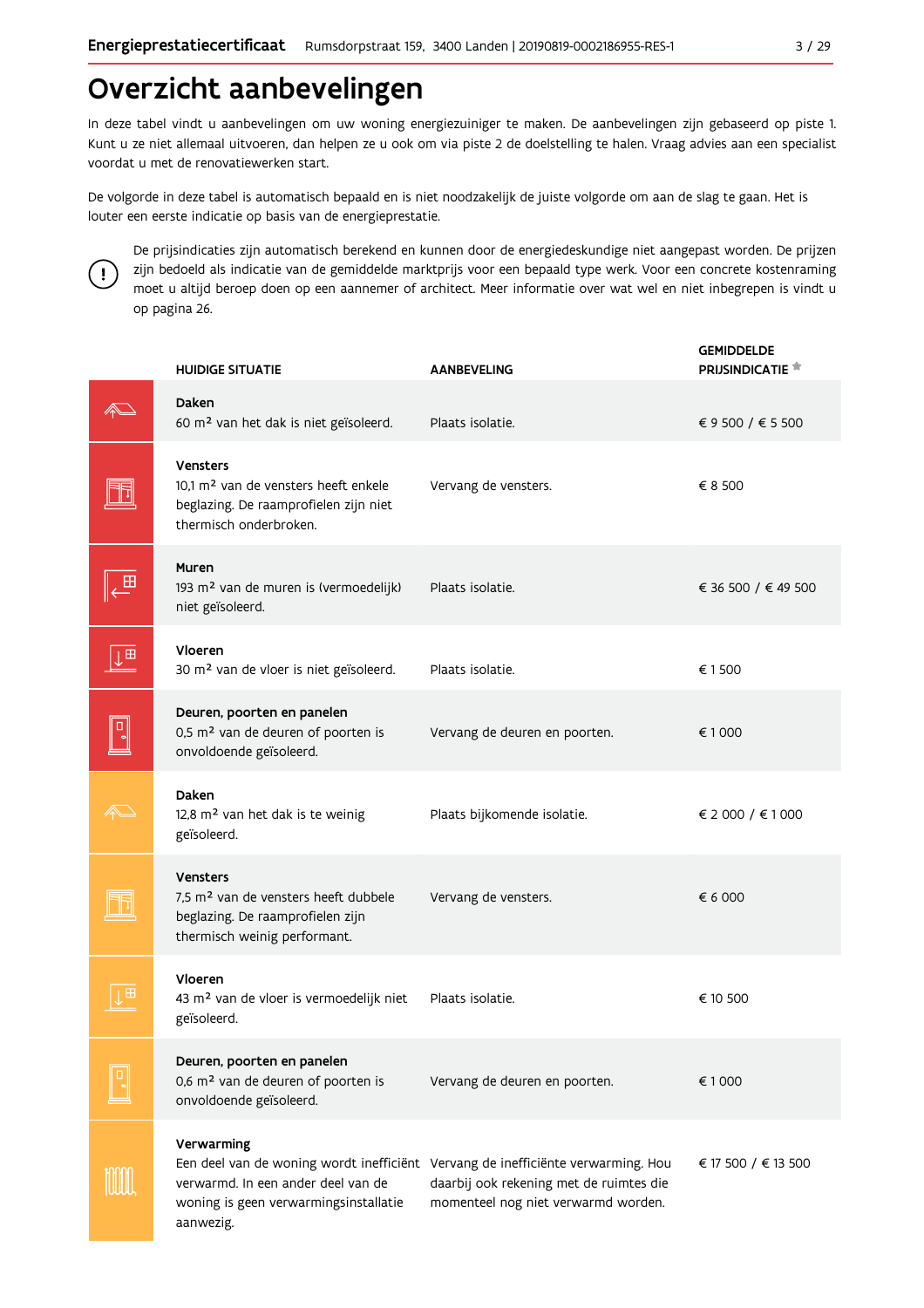## Overzicht aanbevelingen

In deze tabel vindt u aanbevelingen om uw woning energiezuiniger te maken. De aanbevelingen zijn gebaseerd op piste 1. Kunt u ze niet allemaal uitvoeren, dan helpen ze u ook om via piste 2 de doelstelling te halen. Vraag advies aan een specialist voordat u met de renovatiewerken start.

De volgorde in deze tabel is automatisch bepaald en is niet noodzakelijk de juiste volgorde om aan de slag te gaan. Het is louter een eerste indicatie op basis van de energieprestatie.



De prijsindicaties zijn automatisch berekend en kunnen door de energiedeskundige niet aangepast worden. De prijzen zijn bedoeld als indicatie van de gemiddelde marktprijs voor een bepaald type werk. Voor een concrete kostenraming moet u altijd beroep doen op een aannemer of architect. Meer informatie over wat wel en niet inbegrepen is vindt u op pagina 26.

|   | <b>HUIDIGE SITUATIE</b>                                                                                                                 | <b>AANBEVELING</b>                                                                                                                                                 | <b>GEMIDDELDE</b><br>PRIJSINDICATIE <sup>*</sup> |
|---|-----------------------------------------------------------------------------------------------------------------------------------------|--------------------------------------------------------------------------------------------------------------------------------------------------------------------|--------------------------------------------------|
|   | Daken<br>60 m <sup>2</sup> van het dak is niet geïsoleerd.                                                                              | Plaats isolatie.                                                                                                                                                   | € 9 500 / € 5 500                                |
|   | Vensters<br>10,1 m <sup>2</sup> van de vensters heeft enkele<br>beglazing. De raamprofielen zijn niet<br>thermisch onderbroken.         | Vervang de vensters.                                                                                                                                               | € 8 500                                          |
| 프 | Muren<br>193 m <sup>2</sup> van de muren is (vermoedelijk)<br>niet geïsoleerd.                                                          | Plaats isolatie.                                                                                                                                                   | € 36 500 / € 49 500                              |
| 田 | Vloeren<br>30 m <sup>2</sup> van de vloer is niet geïsoleerd.                                                                           | Plaats isolatie.                                                                                                                                                   | € 1500                                           |
|   | Deuren, poorten en panelen<br>0,5 m <sup>2</sup> van de deuren of poorten is<br>onvoldoende geïsoleerd.                                 | Vervang de deuren en poorten.                                                                                                                                      | €1000                                            |
|   | Daken<br>12,8 m <sup>2</sup> van het dak is te weinig<br>geïsoleerd.                                                                    | Plaats bijkomende isolatie.                                                                                                                                        | € 2 000 / € 1 000                                |
|   | <b>Vensters</b><br>7,5 m <sup>2</sup> van de vensters heeft dubbele<br>beglazing. De raamprofielen zijn<br>thermisch weinig performant. | Vervang de vensters.                                                                                                                                               | € 6 000                                          |
|   | Vloeren<br>43 m <sup>2</sup> van de vloer is vermoedelijk niet<br>geïsoleerd.                                                           | Plaats isolatie.                                                                                                                                                   | € 10 500                                         |
|   | Deuren, poorten en panelen<br>0,6 m <sup>2</sup> van de deuren of poorten is<br>onvoldoende geïsoleerd.                                 | Vervang de deuren en poorten.                                                                                                                                      | €1000                                            |
|   | Verwarming<br>verwarmd. In een ander deel van de<br>woning is geen verwarmingsinstallatie<br>aanwezig.                                  | Een deel van de woning wordt inefficiënt Vervang de inefficiënte verwarming. Hou<br>daarbij ook rekening met de ruimtes die<br>momenteel nog niet verwarmd worden. | € 17 500 / € 13 500                              |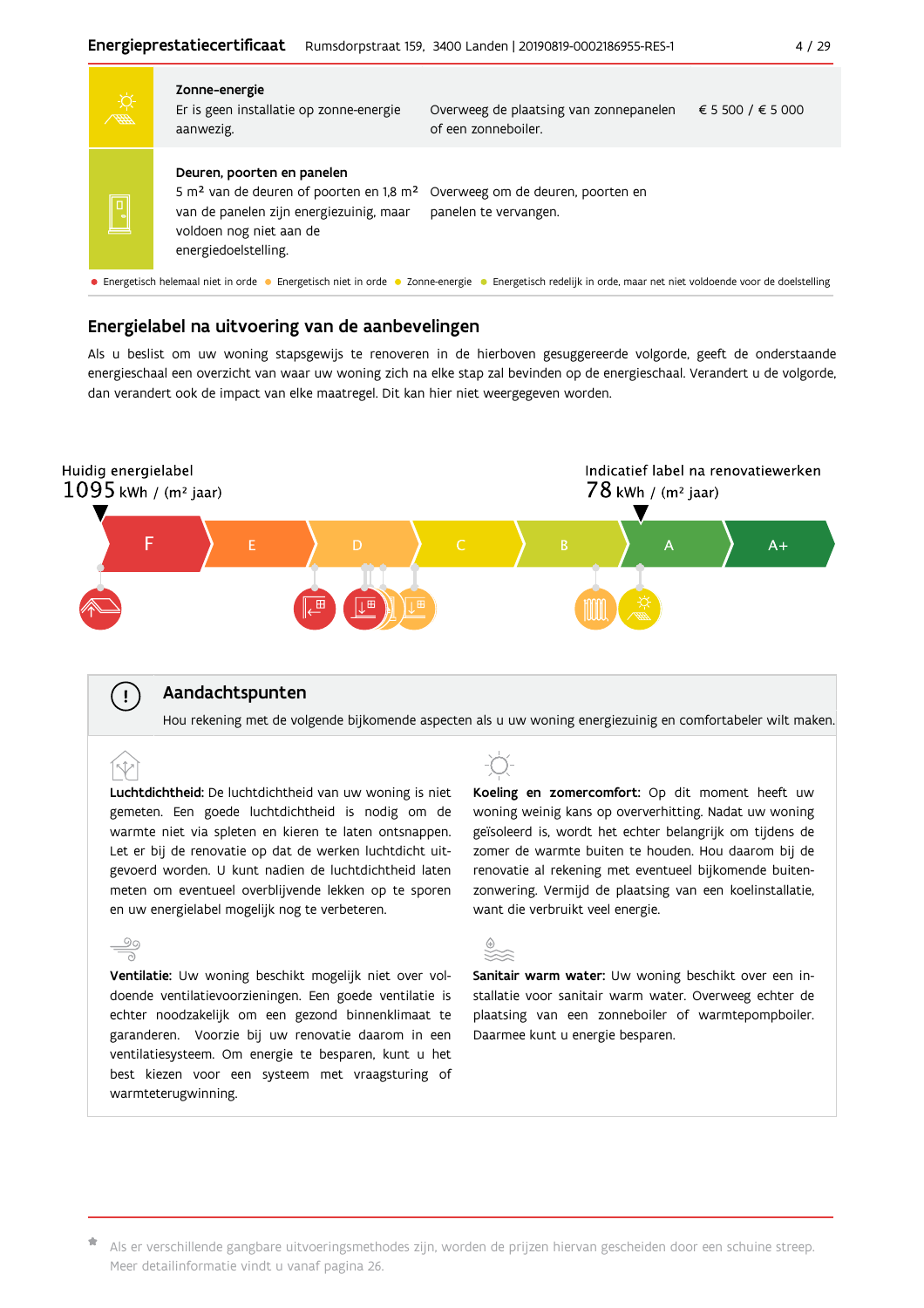|                         | 第一                                                                                                                                                          | Zonne-energie<br>Er is geen installatie op zonne-energie<br>aanwezig.                                                                                                                       | Overweeg de plaatsing van zonnepanelen<br>of een zonneboiler. | € 5 500 / € 5 000 |  |  |  |  |
|-------------------------|-------------------------------------------------------------------------------------------------------------------------------------------------------------|---------------------------------------------------------------------------------------------------------------------------------------------------------------------------------------------|---------------------------------------------------------------|-------------------|--|--|--|--|
| $\overline{\mathsf{D}}$ |                                                                                                                                                             | Deuren, poorten en panelen<br>5 m <sup>2</sup> van de deuren of poorten en 1,8 m <sup>2</sup><br>van de panelen zijn energiezuinig, maar<br>voldoen nog niet aan de<br>energiedoelstelling. | Overweeg om de deuren, poorten en<br>panelen te vervangen.    |                   |  |  |  |  |
|                         | • Energetisch helemaal niet in orde • Energetisch niet in orde • Zonne-energie • Energetisch redelijk in orde, maar net niet voldoende voor de doelstelling |                                                                                                                                                                                             |                                                               |                   |  |  |  |  |

### Energielabel na uitvoering van de aanbevelingen

Als u beslist om uw woning stapsgewijs te renoveren in de hierboven gesuggereerde volgorde, geeft de onderstaande energieschaal een overzicht van waar uw woning zich na elke stap zal bevinden op de energieschaal. Verandert u de volgorde, dan verandert ook de impact van elke maatregel. Dit kan hier niet weergegeven worden.



### Aandachtspunten

 $\mathbf{I}$ 

ÍV

Hou rekening met de volgende bijkomende aspecten als u uw woning energiezuinig en comfortabeler wilt maken.

Luchtdichtheid: De luchtdichtheid van uw woning is niet gemeten. Een goede luchtdichtheid is nodig om de warmte niet via spleten en kieren te laten ontsnappen. Let er bij de renovatie op dat de werken luchtdicht uitgevoerd worden. U kunt nadien de luchtdichtheid laten meten om eventueel overblijvende lekken op te sporen en uw energielabel mogelijk nog te verbeteren.

 $\frac{5}{2}$ Ventilatie: Uw woning beschikt mogelijk niet over voldoende ventilatievoorzieningen. Een goede ventilatie is echter noodzakelijk om een gezond binnenklimaat te garanderen. Voorzie bij uw renovatie daarom in een ventilatiesysteem. Om energie te besparen, kunt u het best kiezen voor een systeem met vraagsturing of warmteterugwinning.



Koeling en zomercomfort: Op dit moment heeft uw woning weinig kans op oververhitting. Nadat uw woning geïsoleerd is, wordt het echter belangrijk om tijdens de zomer de warmte buiten te houden. Hou daarom bij de renovatie al rekening met eventueel bijkomende buitenzonwering. Vermijd de plaatsing van een koelinstallatie, want die verbruikt veel energie.



Sanitair warm water: Uw woning beschikt over een installatie voor sanitair warm water. Overweeg echter de plaatsing van een zonneboiler of warmtepompboiler. Daarmee kunt u energie besparen.

\* Als er verschillende gangbare uitvoeringsmethodes zijn, worden de prijzen hiervan gescheiden door een schuine streep. Meer detailinformatie vindt u vanaf pagina 26.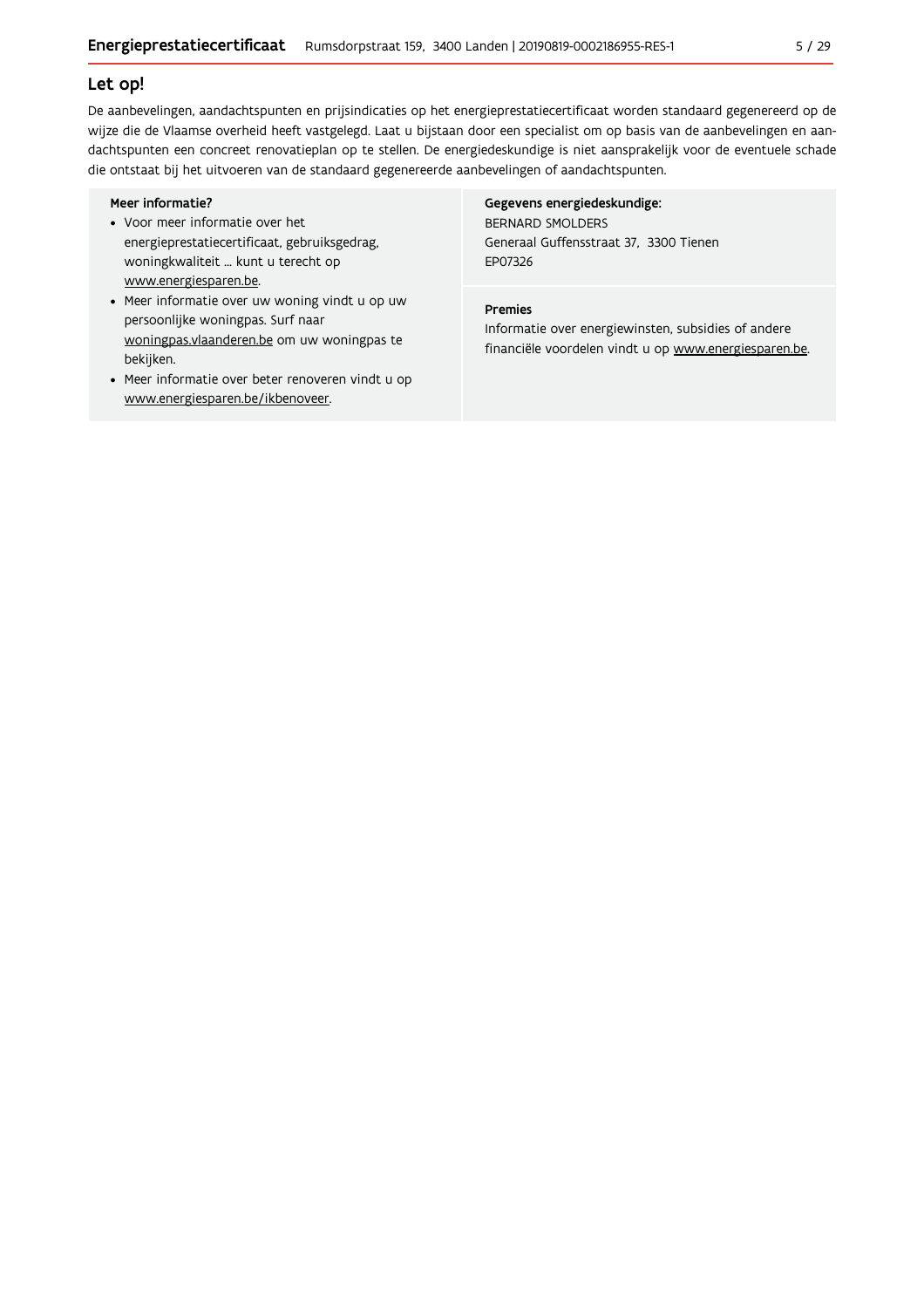#### Let op!

De aanbevelingen, aandachtspunten en prijsindicaties op het energieprestatiecertificaat worden standaard gegenereerd op de wijze die de Vlaamse overheid heeft vastgelegd. Laat u bijstaan door een specialist om op basis van de aanbevelingen en aandachtspunten een concreet renovatieplan op te stellen. De energiedeskundige is niet aansprakelijk voor de eventuele schade die ontstaat bij het uitvoeren van de standaard gegenereerde aanbevelingen of aandachtspunten.

#### Meer informatie?

- Voor meer informatie over het energieprestatiecertificaat, gebruiksgedrag, woningkwaliteit ... kunt u terecht op www.energiesparen.be.
- Meer informatie over uw woning vindt u op uw persoonlijke woningpas. Surf naar woningpas.vlaanderen.be om uw woningpas te bekijken.
- Meer informatie over beter renoveren vindt u op www.energiesparen.be/ikbenoveer.

#### Gegevens energiedeskundige:

**BERNARD SMOLDERS** Generaal Guffensstraat 37, 3300 Tienen EP07326

#### Premies

Informatie over energiewinsten, subsidies of andere financiële voordelen vindt u op www.energiesparen.be.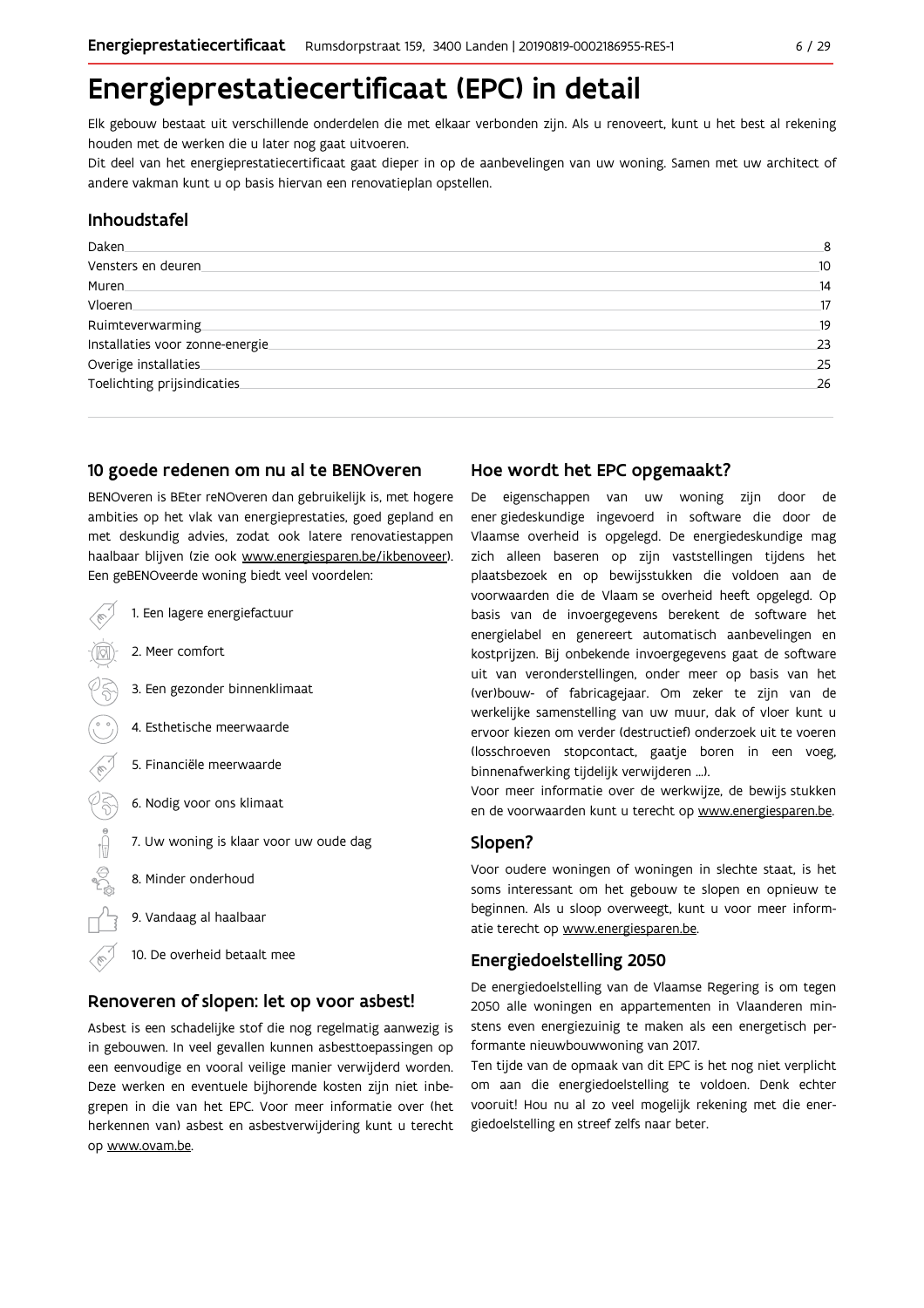## Energieprestatiecertificaat (EPC) in detail

Elk gebouw bestaat uit verschillende onderdelen die met elkaar verbonden zijn. Als u renoveert, kunt u het best al rekening houden met de werken die u later nog gaat uitvoeren.

Dit deel van het energieprestatiecertificaat gaat dieper in op de aanbevelingen van uw woning. Samen met uw architect of andere vakman kunt u op basis hiervan een renovatieplan opstellen.

### Inhoudstafel

| Daken.                           | 8  |
|----------------------------------|----|
| Vensters en deuren.              | 10 |
| Muren.                           | 14 |
| <b>Vloeren</b>                   | 17 |
| Ruimteverwarming                 | 19 |
| Installaties voor zonne-energie. | 23 |
| Overige installaties             | 25 |
| Toelichting prijsindicaties      | 26 |
|                                  |    |

#### 10 goede redenen om nu al te BENOveren

BENOveren is BEter reNOveren dan gebruikelijk is, met hogere ambities op het vlak van energieprestaties, goed gepland en met deskundig advies, zodat ook latere renovatiestappen haalbaar blijven (zie ook www.energiesparen.be/ikbenoveer). Fen deRENOveerde woning hiedt veel voordelen

| $\epsilon$ . Reperto reel as morning bisas reel rool asien. |  |  |  |
|-------------------------------------------------------------|--|--|--|
| 1. Een lagere energiefactuur                                |  |  |  |
| 2. Meer comfort                                             |  |  |  |
| 3. Een gezonder binnenklimaat                               |  |  |  |
| 4. Esthetische meerwaarde                                   |  |  |  |
| 5. Financiële meerwaarde                                    |  |  |  |
| 6. Nodig voor ons klimaat                                   |  |  |  |
| 7. Uw woning is klaar voor uw oude dag                      |  |  |  |
| 8. Minder onderhoud                                         |  |  |  |
| 9. Vandaag al haalbaar                                      |  |  |  |
|                                                             |  |  |  |

## Renoveren of slopen: let op voor asbest!

10. De overheid betaalt mee

Asbest is een schadelijke stof die nog regelmatig aanwezig is in gebouwen. In veel gevallen kunnen asbesttoepassingen op een eenvoudige en vooral veilige manier verwijderd worden. Deze werken en eventuele bijhorende kosten zijn niet inbegrepen in die van het EPC. Voor meer informatie over (het herkennen van) asbest en asbestverwijdering kunt u terecht op www.ovam.be.

#### Hoe wordt het EPC opgemaakt?

De eigenschappen van uw woning zijn door de ener giedeskundige ingevoerd in software die door de Vlaamse overheid is opgelegd. De energiedeskundige mag zich alleen baseren op zijn vaststellingen tijdens het plaatsbezoek en op bewijsstukken die voldoen aan de voorwaarden die de Vlaam se overheid heeft opgelegd. Op basis van de invoergegevens berekent de software het energielabel en genereert automatisch aanbevelingen en kostprijzen. Bij onbekende invoergegevens gaat de software uit van veronderstellingen, onder meer op basis van het (ver)bouw- of fabricageiaar. Om zeker te zijn van de werkelijke samenstelling van uw muur, dak of vloer kunt u ervoor kiezen om verder (destructief) onderzoek uit te voeren (losschroeven stopcontact, gaatje boren in een voeg, binnenafwerking tijdelijk verwijderen ...).

Voor meer informatie over de werkwijze, de bewijs stukken en de voorwaarden kunt u terecht op www.energiesparen.be.

#### Slopen?

Voor oudere woningen of woningen in slechte staat, is het soms interessant om het gebouw te slopen en opnieuw te beginnen. Als u sloop overweegt, kunt u voor meer informatie terecht op www.energiesparen.be.

#### **Energiedoelstelling 2050**

De energiedoelstelling van de Vlaamse Regering is om tegen 2050 alle woningen en appartementen in Vlaanderen minstens even energiezuinig te maken als een energetisch performante nieuwbouwwoning van 2017.

Ten tijde van de opmaak van dit EPC is het nog niet verplicht om aan die energiedoelstelling te voldoen. Denk echter vooruit! Hou nu al zo veel mogelijk rekening met die energiedoelstelling en streef zelfs naar beter.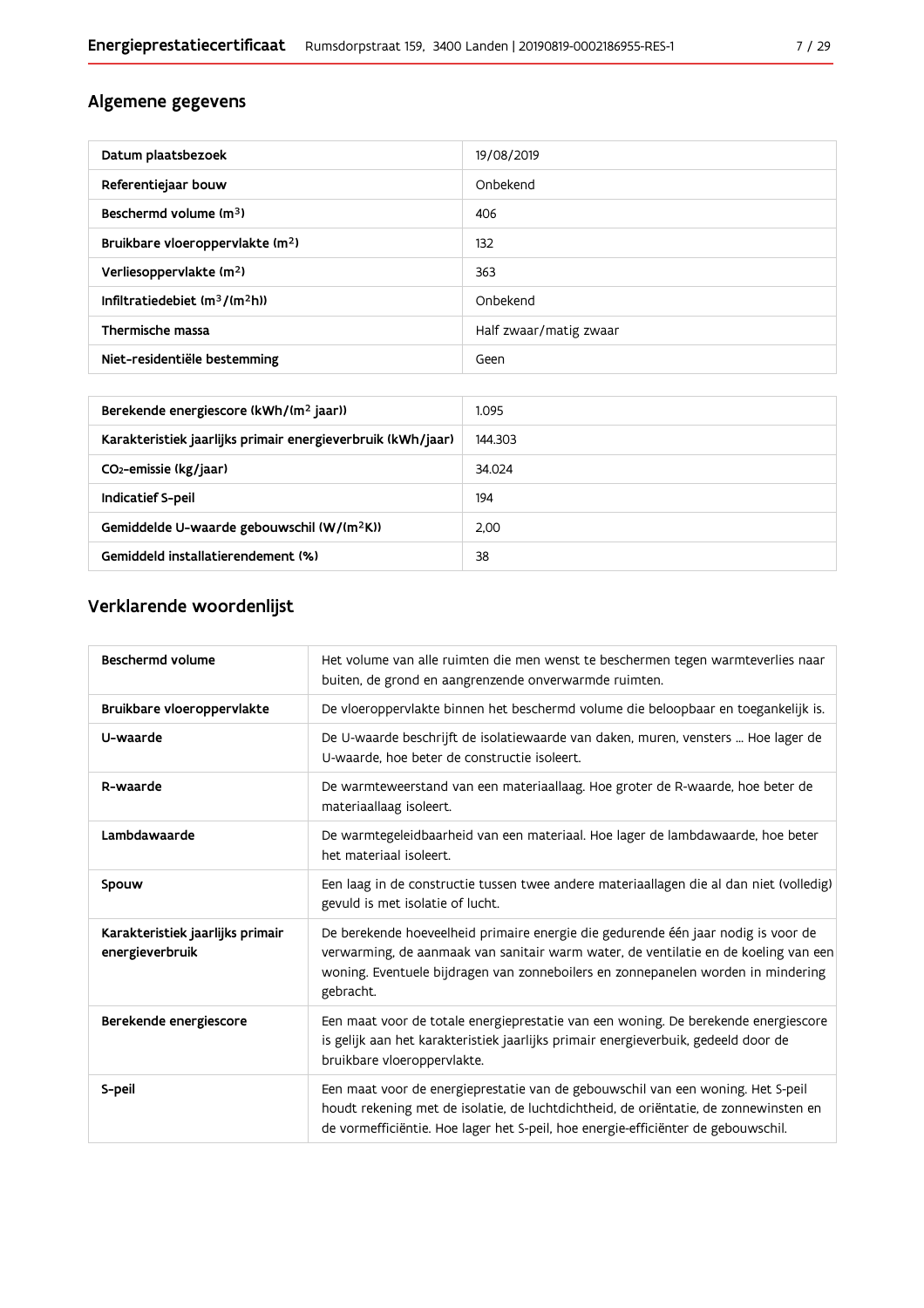## Algemene gegevens

| Datum plaatsbezoek                           | 19/08/2019             |
|----------------------------------------------|------------------------|
| Referentiejaar bouw                          | Onbekend               |
| Beschermd volume (m <sup>3</sup> )           | 406                    |
| Bruikbare vloeroppervlakte (m <sup>2</sup> ) | 132                    |
| Verliesoppervlakte (m <sup>2</sup> )         | 363                    |
| Infiltratiedebiet $(m^3/(m^2h))$             | Onbekend               |
| Thermische massa                             | Half zwaar/matig zwaar |
| Niet-residentiële bestemming                 | Geen                   |

| Berekende energiescore (kWh/(m <sup>2</sup> jaar))          | 1.095   |
|-------------------------------------------------------------|---------|
| Karakteristiek jaarlijks primair energieverbruik (kWh/jaar) | 144.303 |
| CO <sub>2</sub> -emissie (kg/jaar)                          | 34.024  |
| Indicatief S-peil                                           | 194     |
| Gemiddelde U-waarde gebouwschil (W/(m <sup>2</sup> K))      | 2.00    |
| Gemiddeld installatierendement (%)                          | 38      |

## Verklarende woordenlijst

| Beschermd volume                                    | Het volume van alle ruimten die men wenst te beschermen tegen warmteverlies naar<br>buiten, de grond en aangrenzende onverwarmde ruimten.                                                                                                                                 |
|-----------------------------------------------------|---------------------------------------------------------------------------------------------------------------------------------------------------------------------------------------------------------------------------------------------------------------------------|
| Bruikbare vloeroppervlakte                          | De vloeroppervlakte binnen het beschermd volume die beloopbaar en toegankelijk is.                                                                                                                                                                                        |
| U-waarde                                            | De U-waarde beschrijft de isolatiewaarde van daken, muren, vensters  Hoe lager de<br>U-waarde, hoe beter de constructie isoleert.                                                                                                                                         |
| R-waarde                                            | De warmteweerstand van een materiaallaag. Hoe groter de R-waarde, hoe beter de<br>materiaallaag isoleert.                                                                                                                                                                 |
| Lambdawaarde                                        | De warmtegeleidbaarheid van een materiaal. Hoe lager de lambdawaarde, hoe beter<br>het materiaal isoleert.                                                                                                                                                                |
| Spouw                                               | Een laag in de constructie tussen twee andere materiaallagen die al dan niet (volledig)<br>gevuld is met isolatie of lucht.                                                                                                                                               |
| Karakteristiek jaarlijks primair<br>energieverbruik | De berekende hoeveelheid primaire energie die gedurende één jaar nodig is voor de<br>verwarming, de aanmaak van sanitair warm water, de ventilatie en de koeling van een<br>woning. Eventuele bijdragen van zonneboilers en zonnepanelen worden in mindering<br>gebracht. |
| Berekende energiescore                              | Een maat voor de totale energieprestatie van een woning. De berekende energiescore<br>is gelijk aan het karakteristiek jaarlijks primair energieverbuik, gedeeld door de<br>bruikbare vloeroppervlakte.                                                                   |
| S-peil                                              | Een maat voor de energieprestatie van de gebouwschil van een woning. Het S-peil<br>houdt rekening met de isolatie, de luchtdichtheid, de oriëntatie, de zonnewinsten en<br>de vormefficiëntie. Hoe lager het S-peil, hoe energie-efficiënter de gebouwschil.              |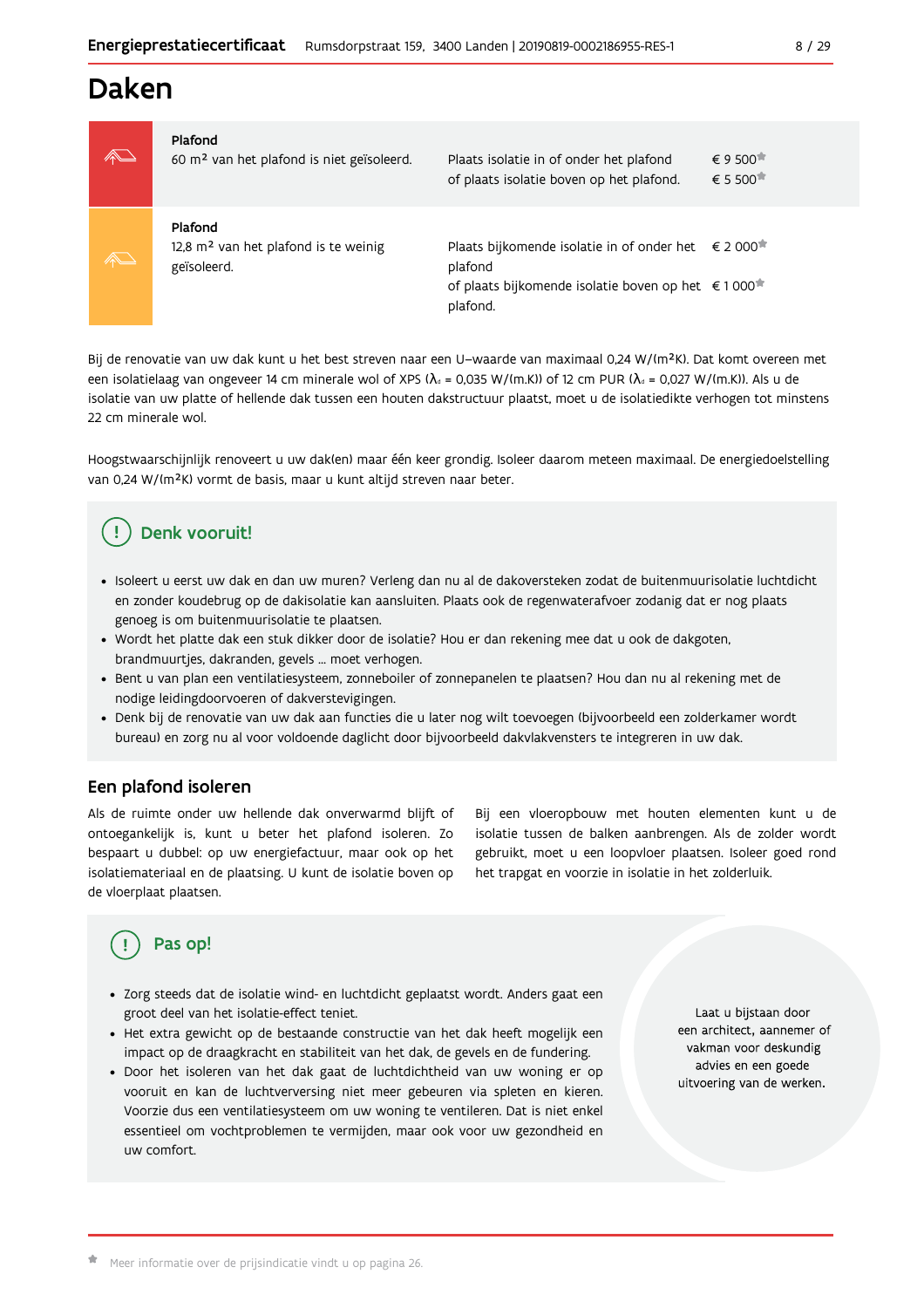## **Daken**



#### Plafond

| 60 m <sup>2</sup> van het plafond is niet geïsoleerd.                      | Plaats isolatie in of onder het plafond<br>of plaats isolatie boven op het plafond.                                                                              | € 9 500 <sup><math>\overline{•}</math></sup><br>$\epsilon$ 5 500 $\pi$ |
|----------------------------------------------------------------------------|------------------------------------------------------------------------------------------------------------------------------------------------------------------|------------------------------------------------------------------------|
| Plafond<br>12,8 m <sup>2</sup> van het plafond is te weinig<br>geïsoleerd. | Plaats bijkomende isolatie in of onder het $\epsilon$ 2 000 <sup>★</sup><br>plafond<br>of plaats bijkomende isolatie boven op het €1000 <sup>*</sup><br>plafond. |                                                                        |

Bij de renovatie van uw dak kunt u het best streven naar een U-waarde van maximaal 0,24 W/(m<sup>2</sup>K). Dat komt overeen met een isolatielaag van ongeveer 14 cm minerale wol of XPS ( $\lambda_a$  = 0,035 W/(m.K)) of 12 cm PUR ( $\lambda_a$  = 0,027 W/(m.K)). Als u de isolatie van uw platte of hellende dak tussen een houten dakstructuur plaatst, moet u de isolatiedikte verhogen tot minstens 22 cm minerale wol.

Hoogstwaarschijnlijk renoveert u uw dak(en) maar één keer grondig. Isoleer daarom meteen maximaal. De energiedoelstelling van 0,24 W/(m<sup>2</sup>K) vormt de basis, maar u kunt altijd streven naar beter.

## Denk vooruit!

- · Isoleert u eerst uw dak en dan uw muren? Verleng dan nu al de dakoversteken zodat de buitenmuurisolatie luchtdicht en zonder koudebrug op de dakisolatie kan aansluiten. Plaats ook de regenwaterafvoer zodanig dat er nog plaats genoeg is om buitenmuurisolatie te plaatsen.
- · Wordt het platte dak een stuk dikker door de isolatie? Hou er dan rekening mee dat u ook de dakgoten, brandmuurtjes, dakranden, gevels ... moet verhogen.
- Bent u van plan een ventilatiesysteem, zonneboiler of zonnepanelen te plaatsen? Hou dan nu al rekening met de nodige leidingdoorvoeren of dakverstevigingen.
- · Denk bij de renovatie van uw dak aan functies die u later nog wilt toevoegen (bijvoorbeeld een zolderkamer wordt bureau) en zorg nu al voor voldoende daglicht door bijvoorbeeld dakvlakvensters te integreren in uw dak.

### Een plafond isoleren

Als de ruimte onder uw hellende dak onverwarmd blijft of ontoegankelijk is, kunt u beter het plafond isoleren. Zo bespaart u dubbel: op uw energiefactuur, maar ook op het isolatiemateriaal en de plaatsing. U kunt de isolatie boven op de vloerplaat plaatsen.

Bij een vloeropbouw met houten elementen kunt u de isolatie tussen de balken aanbrengen. Als de zolder wordt gebruikt, moet u een loopvloer plaatsen. Isoleer goed rond het trapgat en voorzie in isolatie in het zolderluik.

## Pas op!

- · Zorg steeds dat de isolatie wind- en luchtdicht geplaatst wordt. Anders gaat een groot deel van het isolatie-effect teniet.
- Het extra gewicht op de bestaande constructie van het dak heeft mogelijk een impact op de draagkracht en stabiliteit van het dak, de gevels en de fundering.
- · Door het isoleren van het dak gaat de luchtdichtheid van uw woning er op vooruit en kan de luchtverversing niet meer gebeuren via spleten en kieren. Voorzie dus een ventilatiesysteem om uw woning te ventileren. Dat is niet enkel essentieel om vochtproblemen te vermijden, maar ook voor uw gezondheid en uw comfort.

Laat u bijstaan door een architect, aannemer of vakman voor deskundig advies en een goede uitvoering van de werken.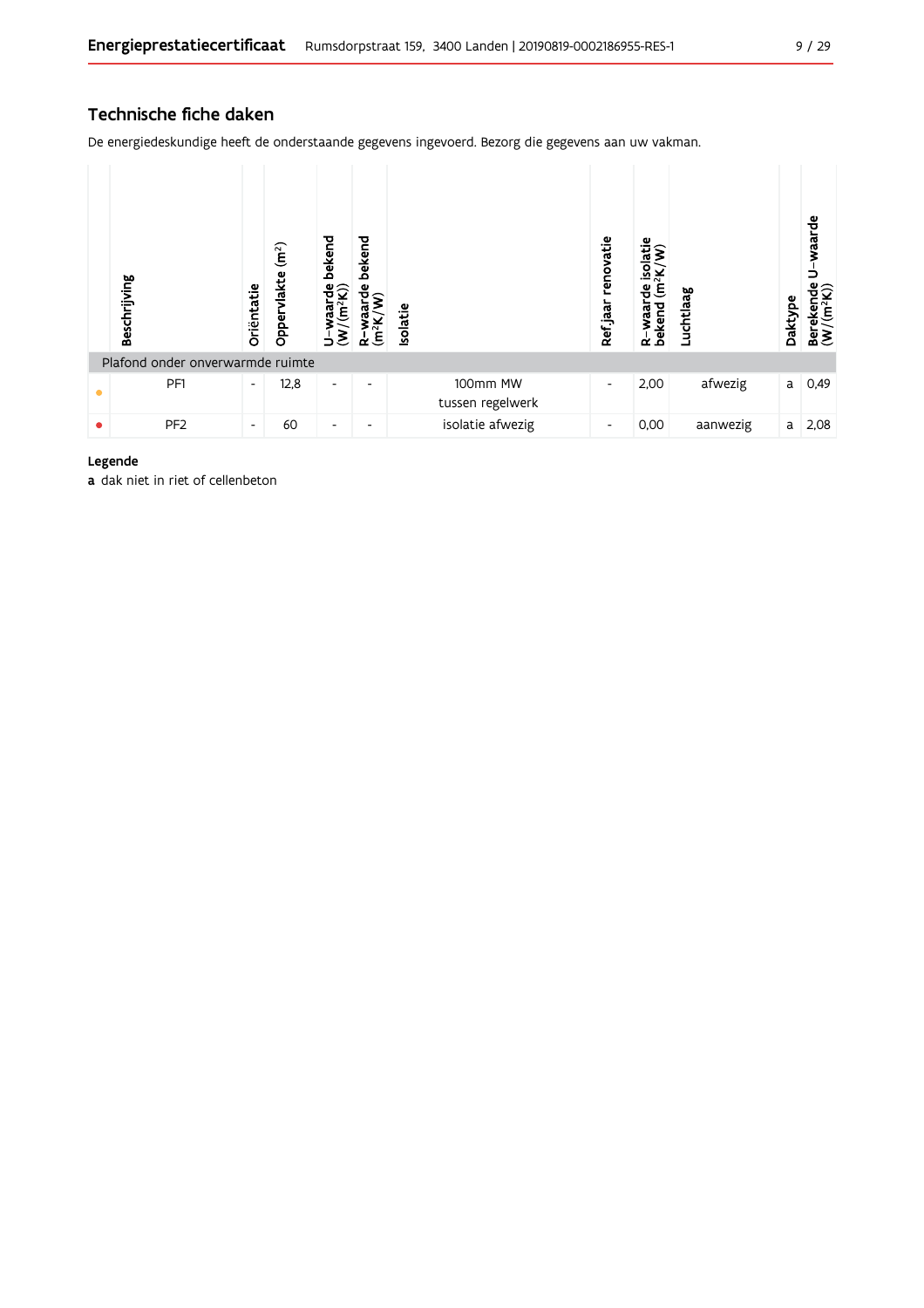## Technische fiche daken

De energiedeskundige heeft de onderstaande gegevens ingevoerd. Bezorg die gegevens aan uw vakman.



#### Legende

a dak niet in riet of cellenbeton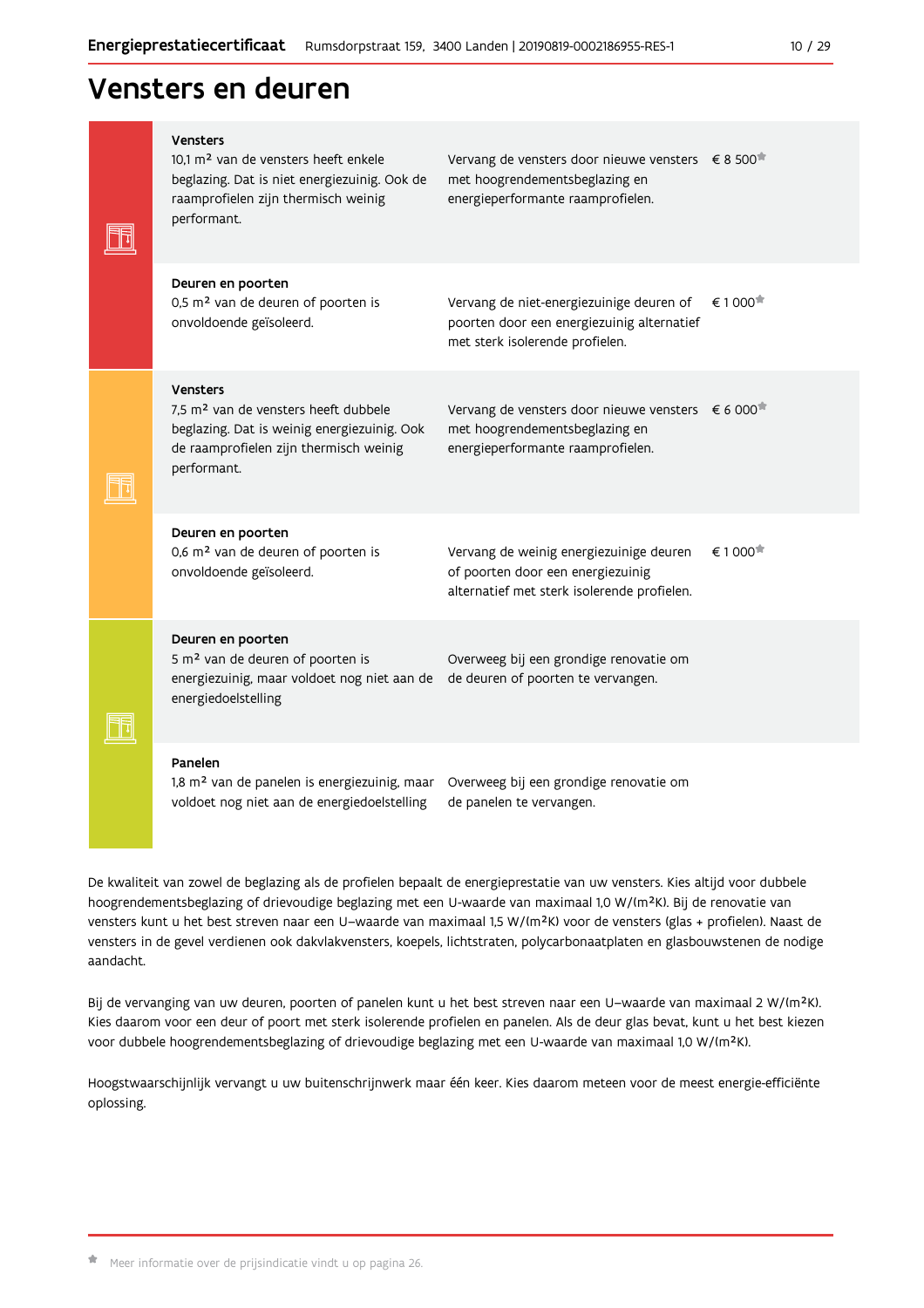## Vensters en deuren

|  | <b>Vensters</b><br>10.1 m <sup>2</sup> van de vensters heeft enkele<br>beglazing. Dat is niet energiezuinig. Ook de<br>raamprofielen zijn thermisch weinig<br>performant.   | Vervang de vensters door nieuwe vensters $\epsilon$ 8 500 <sup>*</sup><br>met hoogrendementsbeglazing en<br>energieperformante raamprofielen. |                        |
|--|-----------------------------------------------------------------------------------------------------------------------------------------------------------------------------|-----------------------------------------------------------------------------------------------------------------------------------------------|------------------------|
|  | Deuren en poorten<br>0,5 m <sup>2</sup> van de deuren of poorten is<br>onvoldoende geïsoleerd.                                                                              | Vervang de niet-energiezuinige deuren of<br>poorten door een energiezuinig alternatief<br>met sterk isolerende profielen.                     | € 1 000 <sup>★</sup>   |
|  | <b>Vensters</b><br>7,5 m <sup>2</sup> van de vensters heeft dubbele<br>beglazing. Dat is weinig energiezuinig. Ook<br>de raamprofielen zijn thermisch weinig<br>performant. | Vervang de vensters door nieuwe vensters $\epsilon$ 6 000 <sup>*</sup><br>met hoogrendementsbeglazing en<br>energieperformante raamprofielen. |                        |
|  | Deuren en poorten<br>0,6 m <sup>2</sup> van de deuren of poorten is<br>onvoldoende geïsoleerd.                                                                              | Vervang de weinig energiezuinige deuren<br>of poorten door een energiezuinig<br>alternatief met sterk isolerende profielen.                   | $\epsilon$ 1 000 $\pi$ |
|  | Deuren en poorten<br>5 m <sup>2</sup> van de deuren of poorten is<br>energiezuinig, maar voldoet nog niet aan de<br>energiedoelstelling                                     | Overweeg bij een grondige renovatie om<br>de deuren of poorten te vervangen.                                                                  |                        |
|  | Panelen<br>1,8 m <sup>2</sup> van de panelen is energiezuinig, maar<br>voldoet nog niet aan de energiedoelstelling                                                          | Overweeg bij een grondige renovatie om<br>de panelen te vervangen.                                                                            |                        |

De kwaliteit van zowel de beglazing als de profielen bepaalt de energieprestatie van uw vensters. Kies altijd voor dubbele hoogrendementsbeglazing of drievoudige beglazing met een U-waarde van maximaal 1,0 W/(m<sup>2</sup>K). Bij de renovatie van vensters kunt u het best streven naar een U-waarde van maximaal 1,5 W/(m<sup>2</sup>K) voor de vensters (glas + profielen). Naast de vensters in de gevel verdienen ook dakvlakvensters, koepels, lichtstraten, polycarbonaatplaten en glasbouwstenen de nodige aandacht.

Bij de vervanging van uw deuren, poorten of panelen kunt u het best streven naar een U-waarde van maximaal 2 W/(m<sup>2</sup>K). Kies daarom voor een deur of poort met sterk isolerende profielen en panelen. Als de deur glas bevat, kunt u het best kiezen voor dubbele hoogrendementsbeglazing of drievoudige beglazing met een U-waarde van maximaal 1,0 W/(m<sup>2</sup>K).

Hoogstwaarschijnlijk vervangt u uw buitenschrijnwerk maar één keer. Kies daarom meteen voor de meest energie-efficiënte oplossing.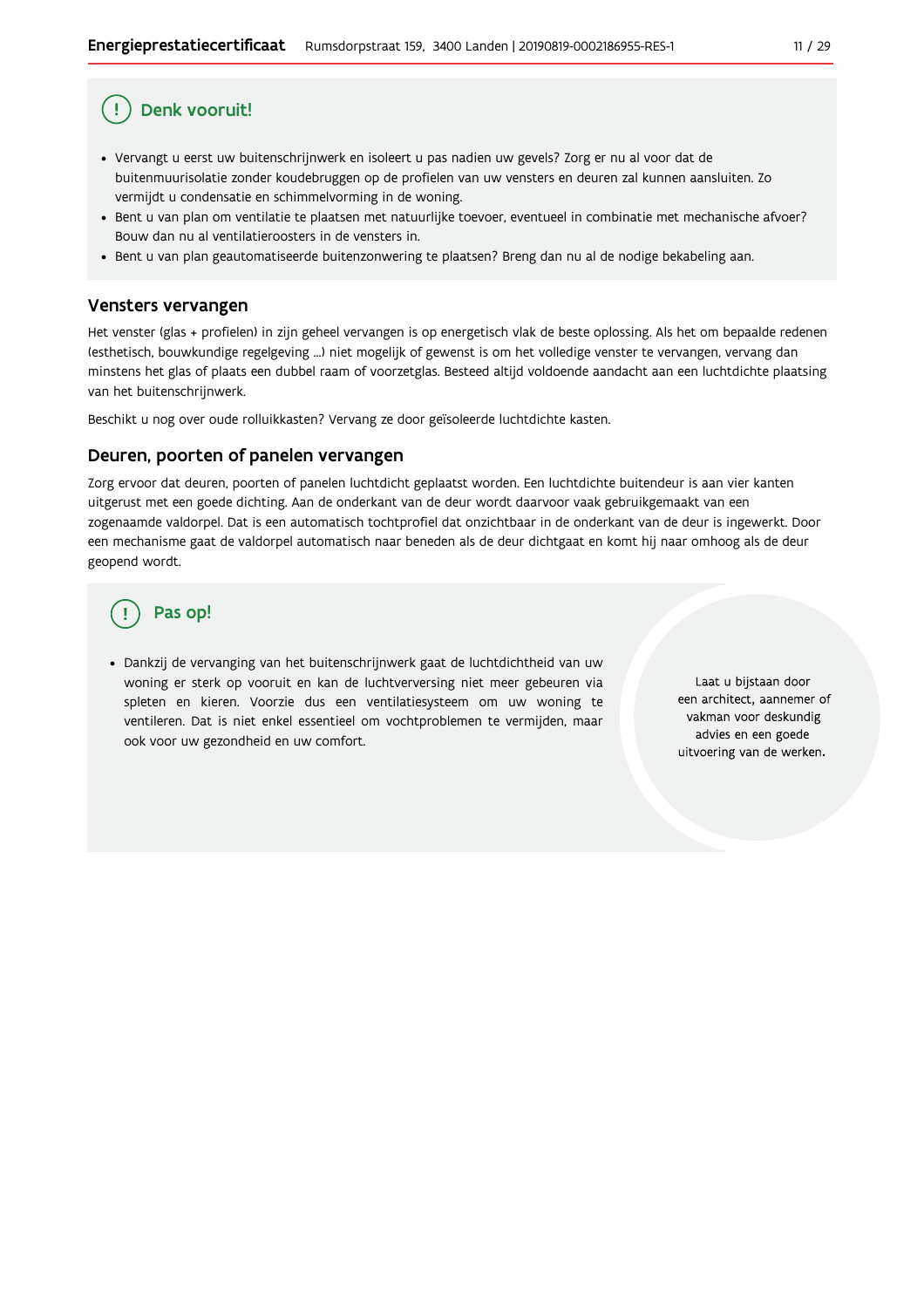## Denk vooruit!

- · Vervangt u eerst uw buitenschrijnwerk en isoleert u pas nadien uw gevels? Zorg er nu al voor dat de buitenmuurisolatie zonder koudebruggen op de profielen van uw vensters en deuren zal kunnen aansluiten. Zo vermijdt u condensatie en schimmelvorming in de woning.
- Bent u van plan om ventilatie te plaatsen met natuurlijke toevoer, eventueel in combinatie met mechanische afvoer? Bouw dan nu al ventilatieroosters in de vensters in.
- · Bent u van plan geautomatiseerde buitenzonwering te plaatsen? Breng dan nu al de nodige bekabeling aan.

### Vensters vervangen

Het venster (glas + profielen) in zijn geheel vervangen is op energetisch vlak de beste oplossing. Als het om bepaalde redenen (esthetisch, bouwkundige regelgeving ...) niet mogelijk of gewenst is om het volledige venster te vervangen, vervang dan minstens het glas of plaats een dubbel raam of voorzetglas. Besteed altijd voldoende aandacht aan een luchtdichte plaatsing van het buitenschrijnwerk.

Beschikt u nog over oude rolluikkasten? Vervang ze door geïsoleerde luchtdichte kasten.

#### Deuren, poorten of panelen vervangen

Zorg ervoor dat deuren, poorten of panelen luchtdicht geplaatst worden. Een luchtdichte buitendeur is aan vier kanten uitgerust met een goede dichting. Aan de onderkant van de deur wordt daarvoor vaak gebruikgemaakt van een zogenaamde valdorpel. Dat is een automatisch tochtprofiel dat onzichtbaar in de onderkant van de deur is ingewerkt. Door een mechanisme gaat de valdorpel automatisch naar beneden als de deur dichtgaat en komt hij naar omhoog als de deur geopend wordt.

## Pas op!

· Dankzij de vervanging van het buitenschrijnwerk gaat de luchtdichtheid van uw woning er sterk op vooruit en kan de luchtverversing niet meer gebeuren via spleten en kieren. Voorzie dus een ventilatiesysteem om uw woning te ventileren. Dat is niet enkel essentieel om vochtproblemen te vermijden, maar ook voor uw gezondheid en uw comfort.

Laat u bijstaan door een architect, aannemer of vakman voor deskundig advies en een goede uitvoering van de werken.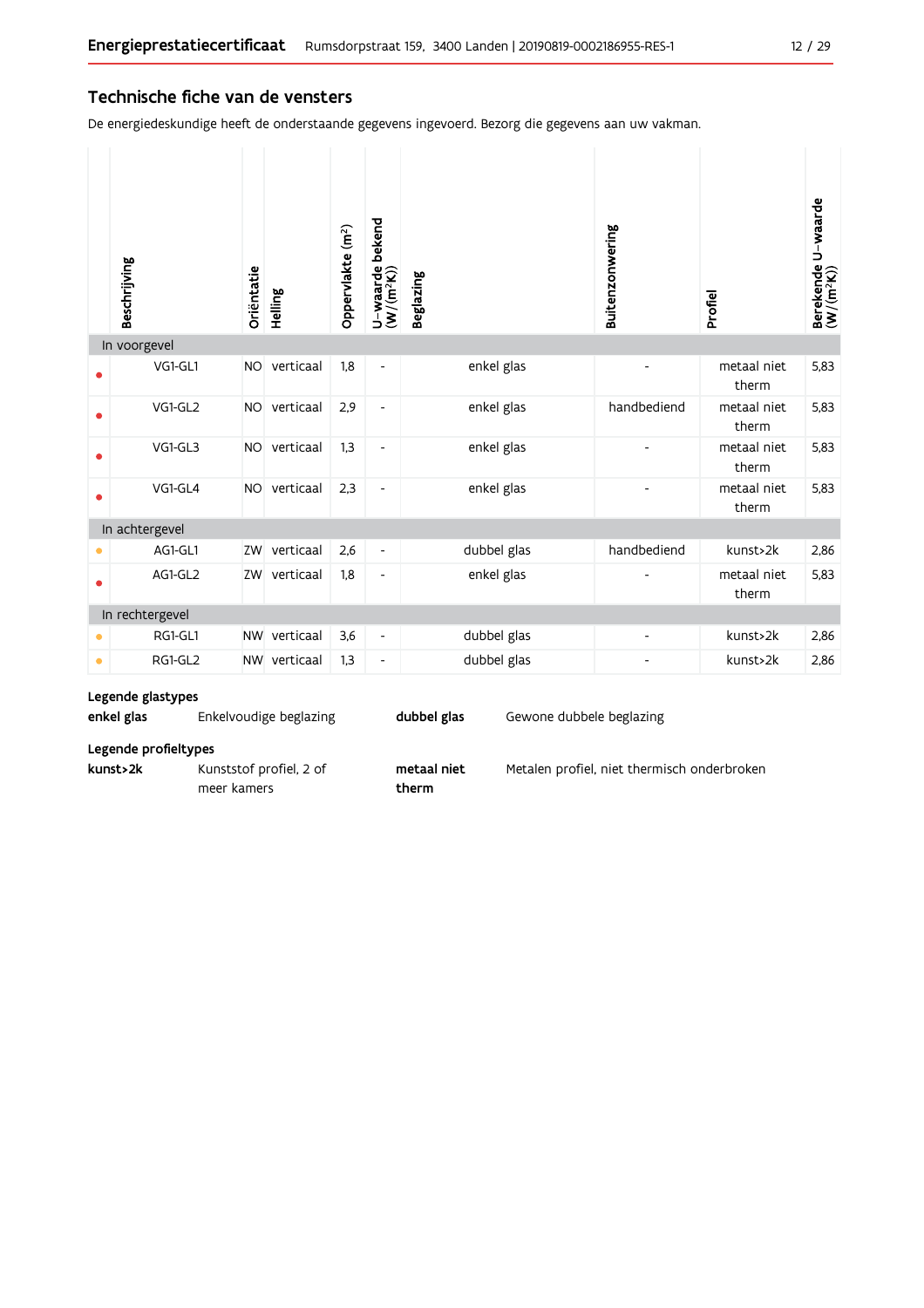### Technische fiche van de vensters

De energiedeskundige heeft de onderstaande gegevens ingevoerd. Bezorg die gegevens aan uw vakman.

|           | Beschrijving    | Oriëntatie | Helling      | Oppervlakte (m <sup>2</sup> ) | bekend<br>$U$ – waarde l $(W/(m^2K))$ | <b>Beglazing</b> | Buitenzonwering | Profiel              | Berekende U-waarde<br>(W/(m <sup>2</sup> K)) |
|-----------|-----------------|------------|--------------|-------------------------------|---------------------------------------|------------------|-----------------|----------------------|----------------------------------------------|
|           | In voorgevel    |            |              |                               |                                       |                  |                 |                      |                                              |
|           | VG1-GL1         | <b>NO</b>  | verticaal    | 1,8                           | $\overline{\phantom{a}}$              | enkel glas       |                 | metaal niet<br>therm | 5,83                                         |
|           | VG1-GL2         | <b>NO</b>  | verticaal    | 2,9                           | $\overline{\phantom{a}}$              | enkel glas       | handbediend     | metaal niet<br>therm | 5,83                                         |
|           | VG1-GL3         | <b>NO</b>  | verticaal    | 1,3                           | $\overline{\phantom{a}}$              | enkel glas       |                 | metaal niet<br>therm | 5,83                                         |
| ●         | VG1-GL4         | <b>NO</b>  | verticaal    | 2,3                           | $\overline{\phantom{a}}$              | enkel glas       |                 | metaal niet<br>therm | 5,83                                         |
|           | In achtergevel  |            |              |                               |                                       |                  |                 |                      |                                              |
|           | AG1-GL1         | ZW         | verticaal    | 2,6                           | $\overline{\phantom{a}}$              | dubbel glas      | handbediend     | kunst>2k             | 2,86                                         |
|           | AG1-GL2         |            | ZW verticaal | 1,8                           | $\overline{a}$                        | enkel glas       |                 | metaal niet<br>therm | 5,83                                         |
|           | In rechtergevel |            |              |                               |                                       |                  |                 |                      |                                              |
|           | RG1-GL1         | <b>NW</b>  | verticaal    | 3,6                           | $\overline{\phantom{a}}$              | dubbel glas      |                 | kunst>2k             | 2,86                                         |
| $\bullet$ | RG1-GL2         |            | NW verticaal | 1,3                           | $\overline{\phantom{a}}$              | dubbel glas      | $\overline{a}$  | kunst>2k             | 2,86                                         |

#### Legende glastypes

| enkel glas | Enkelvoudige beglazing | dubbel glas | Gewone dubbele beglazing |  |
|------------|------------------------|-------------|--------------------------|--|
|            |                        |             |                          |  |

metaal niet

therm

#### Legende profieltypes

| kunst>2k |  |
|----------|--|
|          |  |

Kunststof profiel, 2 of meer kamers

Metalen profiel, niet thermisch onderbroken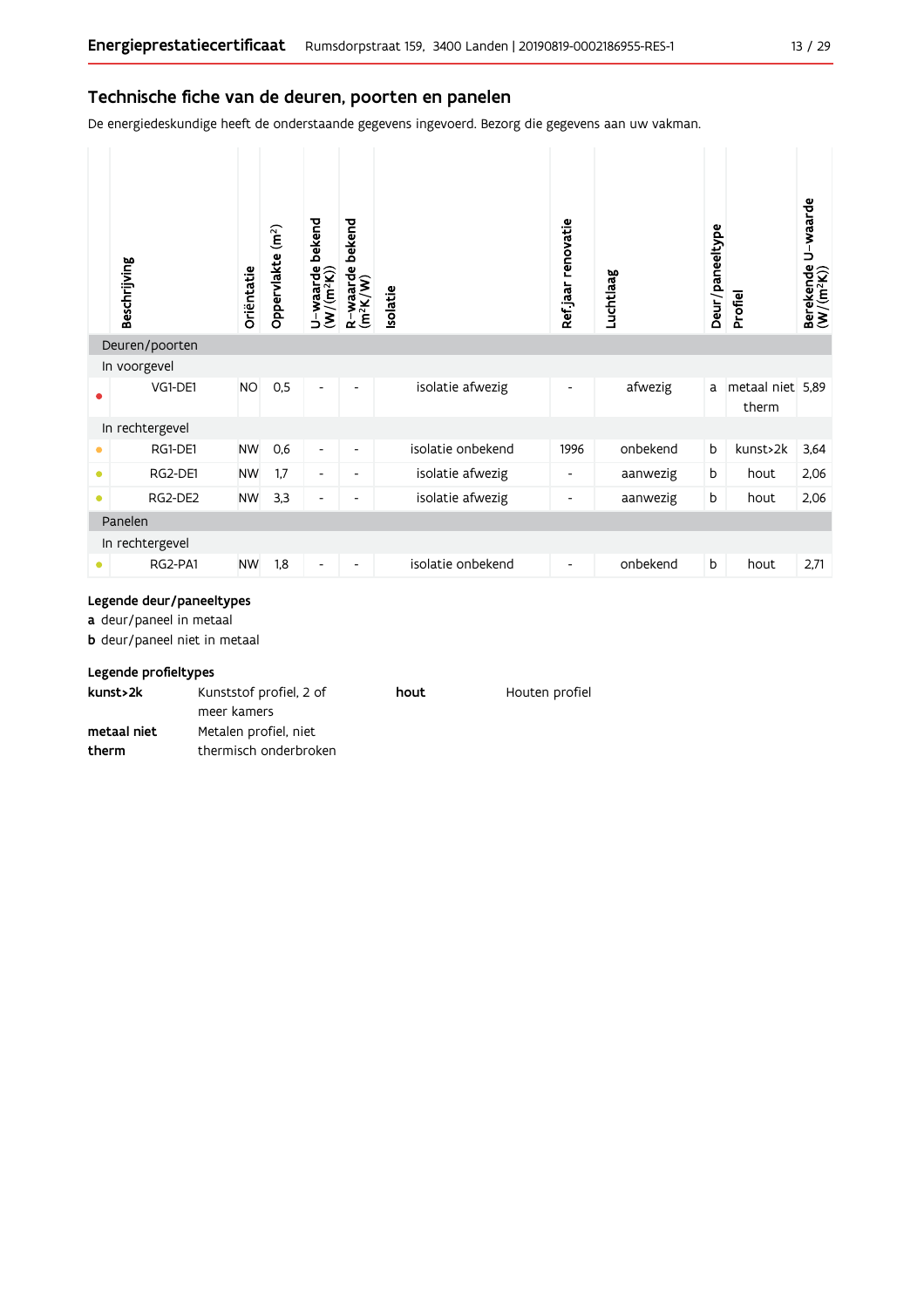### Technische fiche van de deuren, poorten en panelen

De energiedeskundige heeft de onderstaande gegevens ingevoerd. Bezorg die gegevens aan uw vakman.

|           | Beschrijving    | Oriëntatie | Oppervlakte (m <sup>2</sup> ) | bekend<br>$U\text{-} \textsf{waarde} \mid \\ (\textsf{W}/(\textsf{m}^2 \textsf{K}))$ | bekend<br>R-waarde t<br>(m <sup>2</sup> K/W) | <b>Isolatie</b>   | Ref.jaar renovatie | Luchtlaag | Deur/paneeltype | Profiel                   | Berekende U-waarde<br>(W/(m <sup>2</sup> K)) |
|-----------|-----------------|------------|-------------------------------|--------------------------------------------------------------------------------------|----------------------------------------------|-------------------|--------------------|-----------|-----------------|---------------------------|----------------------------------------------|
|           | Deuren/poorten  |            |                               |                                                                                      |                                              |                   |                    |           |                 |                           |                                              |
|           | In voorgevel    |            |                               |                                                                                      |                                              |                   |                    |           |                 |                           |                                              |
|           | VG1-DE1         | <b>NO</b>  | 0,5                           | $\overline{\phantom{0}}$                                                             | ٠                                            | isolatie afwezig  | ٠                  | afwezig   | a               | metaal niet 5,89<br>therm |                                              |
|           | In rechtergevel |            |                               |                                                                                      |                                              |                   |                    |           |                 |                           |                                              |
| ٠         | RG1-DE1         | <b>NW</b>  | 0,6                           | $\overline{\phantom{a}}$                                                             | $\overline{\phantom{0}}$                     | isolatie onbekend | 1996               | onbekend  | b               | kunst>2k                  | 3,64                                         |
| $\bullet$ | RG2-DE1         | <b>NW</b>  | 1.7                           | $\overline{\phantom{a}}$                                                             | ٠                                            | isolatie afwezig  |                    | aanwezig  | b               | hout                      | 2,06                                         |
| $\bullet$ | RG2-DE2         | <b>NW</b>  | 3,3                           | $\overline{\phantom{a}}$                                                             |                                              | isolatie afwezig  |                    | aanwezig  | b               | hout                      | 2,06                                         |
|           | Panelen         |            |                               |                                                                                      |                                              |                   |                    |           |                 |                           |                                              |
|           | In rechtergevel |            |                               |                                                                                      |                                              |                   |                    |           |                 |                           |                                              |
|           | RG2-PA1         | <b>NW</b>  | 1,8                           | $\overline{\phantom{0}}$                                                             |                                              | isolatie onbekend | -                  | onbekend  | b               | hout                      | 2,71                                         |

#### Legende deur/paneeltypes

a deur/paneel in metaal

**b** deur/paneel niet in metaal

#### Legende profieltypes

| kunst>2k    | Kunststof profiel, 2 of | hout | Houten profiel |
|-------------|-------------------------|------|----------------|
|             | meer kamers             |      |                |
| metaal niet | Metalen profiel, niet   |      |                |
| therm       | thermisch onderbroken   |      |                |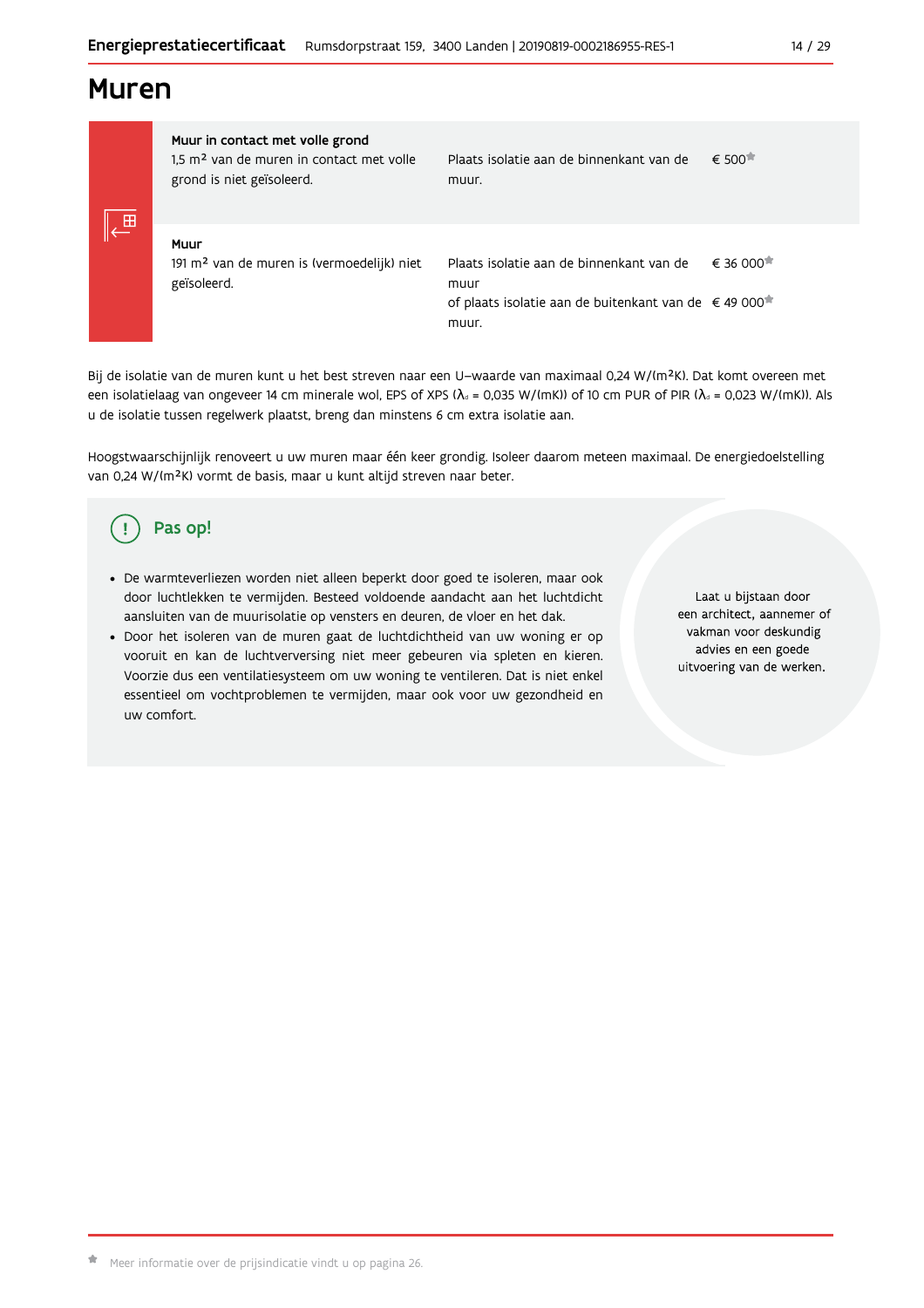## **Muren**

Muur in contact met volle grond 1,5 m<sup>2</sup> van de muren in contact met volle grond is niet geïsoleerd.

Plaats isolatie aan de binnenkant van de  $\epsilon$  500 $\pi$ muur.

Muur 191 m<sup>2</sup> van de muren is (vermoedelijk) niet geïsoleerd.

Plaats isolatie aan de binnenkant van de  $\epsilon$  36.000 $\pi$ muur of plaats isolatie aan de buitenkant van de €49 000<sup>★</sup> muur

Bij de isolatie van de muren kunt u het best streven naar een U-waarde van maximaal 0,24 W/(m<sup>2</sup>K). Dat komt overeen met een isolatielaag van ongeveer 14 cm minerale wol, EPS of XPS ( $\lambda$ <sub>a</sub> = 0,035 W/(mK)) of 10 cm PUR of PIR ( $\lambda$ <sub>a</sub> = 0,023 W/(mK)). Als u de isolatie tussen regelwerk plaatst, breng dan minstens 6 cm extra isolatie aan.

Hoogstwaarschijnlijk renoveert u uw muren maar één keer grondig. Isoleer daarom meteen maximaal. De energiedoelstelling van 0,24 W/(m<sup>2</sup>K) vormt de basis, maar u kunt altijd streven naar beter.

#### Pas op! **I**

- · De warmteverliezen worden niet alleen beperkt door goed te isoleren, maar ook door luchtlekken te vermijden. Besteed voldoende aandacht aan het luchtdicht aansluiten van de muurisolatie op vensters en deuren, de vloer en het dak.
- · Door het isoleren van de muren gaat de luchtdichtheid van uw woning er op vooruit en kan de luchtverversing niet meer gebeuren via spleten en kieren. Voorzie dus een ventilatiesysteem om uw woning te ventileren. Dat is niet enkel essentieel om vochtproblemen te vermijden, maar ook voor uw gezondheid en uw comfort.

Laat u bijstaan door een architect, aannemer of vakman voor deskundig advies en een goede uitvoering van de werken.

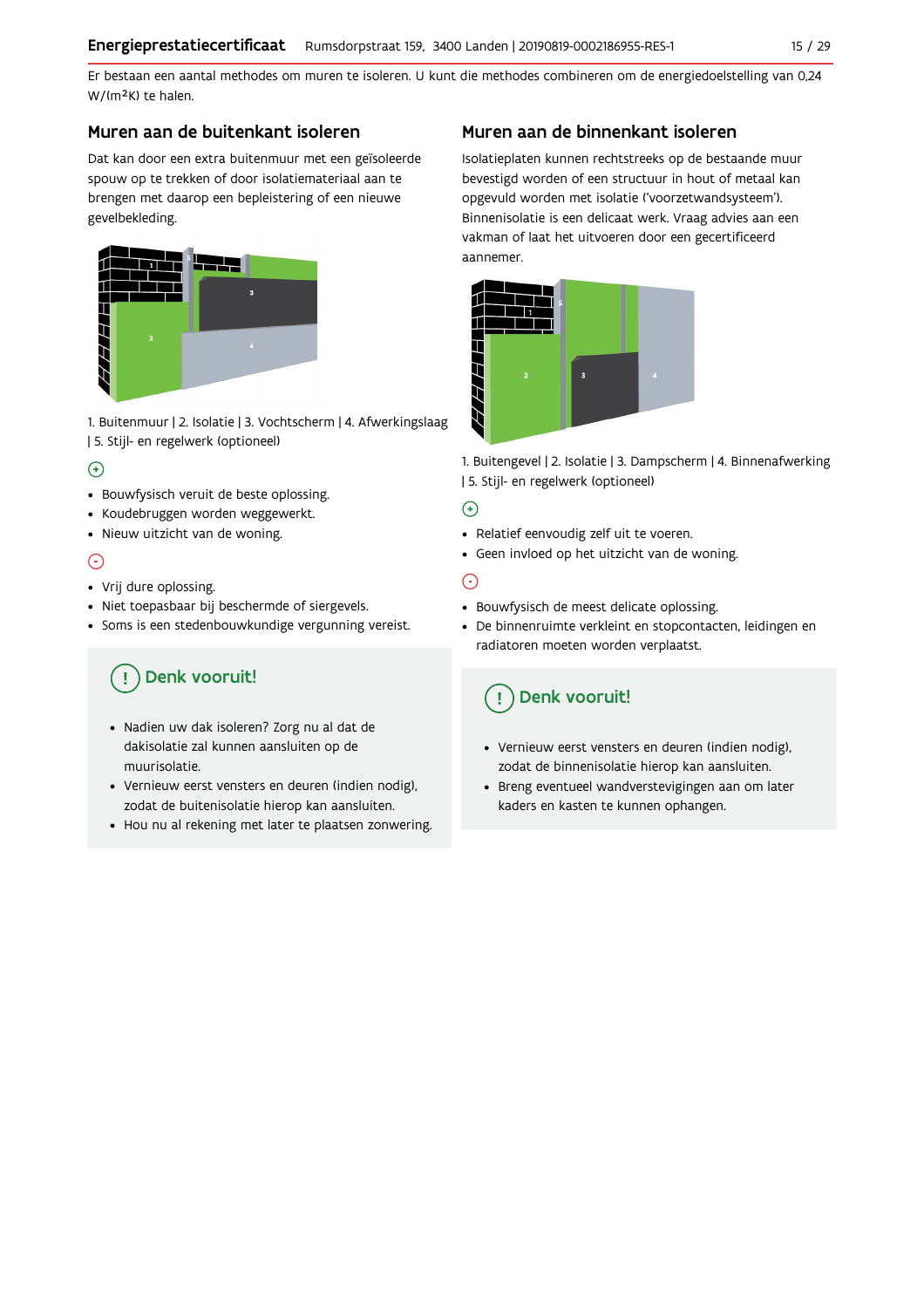Er bestaan een aantal methodes om muren te isoleren. U kunt die methodes combineren om de energiedoelstelling van 0,24 W/(m<sup>2</sup>K) te halen.

## Muren aan de buitenkant isoleren

Dat kan door een extra buitenmuur met een geïsoleerde spouw op te trekken of door isolatiemateriaal aan te brengen met daarop een bepleistering of een nieuwe gevelbekleding.



1. Buitenmuur | 2. Isolatie | 3. Vochtscherm | 4. Afwerkingslaag | 5. Stijl- en regelwerk (optioneel)

## $\left( \widehat{+}\right)$

- Bouwfysisch veruit de beste oplossing.
- · Koudebruggen worden weggewerkt.
- · Nieuw uitzicht van de woning.

## ⊙

- Vrij dure oplossing.
- · Niet toepasbaar bij beschermde of siergevels.
- · Soms is een stedenbouwkundige vergunning vereist.

#### Denk vooruit! Ţ

- · Nadien uw dak isoleren? Zorg nu al dat de dakisolatie zal kunnen aansluiten op de muurisolatie.
- · Vernieuw eerst vensters en deuren (indien nodig), zodat de buitenisolatie hierop kan aansluiten.
- Hou nu al rekening met later te plaatsen zonwering.

## Muren aan de binnenkant isoleren

Isolatieplaten kunnen rechtstreeks op de bestaande muur bevestigd worden of een structuur in hout of metaal kan opgevuld worden met isolatie ('voorzetwandsysteem'). Binnenisolatie is een delicaat werk. Vraag advies aan een vakman of laat het uitvoeren door een gecertificeerd aannemer.



1. Buitengevel | 2. Isolatie | 3. Dampscherm | 4. Binnenafwerking | 5. Stijl- en regelwerk (optioneel)

## $\bigoplus$

- Relatief eenvoudig zelf uit te voeren.
- · Geen invloed op het uitzicht van de woning.

## ⊝

- Bouwfysisch de meest delicate oplossing.
- · De binnenruimte verkleint en stopcontacten, leidingen en radiatoren moeten worden verplaatst.

## Denk vooruit!

- Vernieuw eerst vensters en deuren (indien nodig), zodat de binnenisolatie hierop kan aansluiten.
- · Breng eventueel wandverstevigingen aan om later kaders en kasten te kunnen ophangen.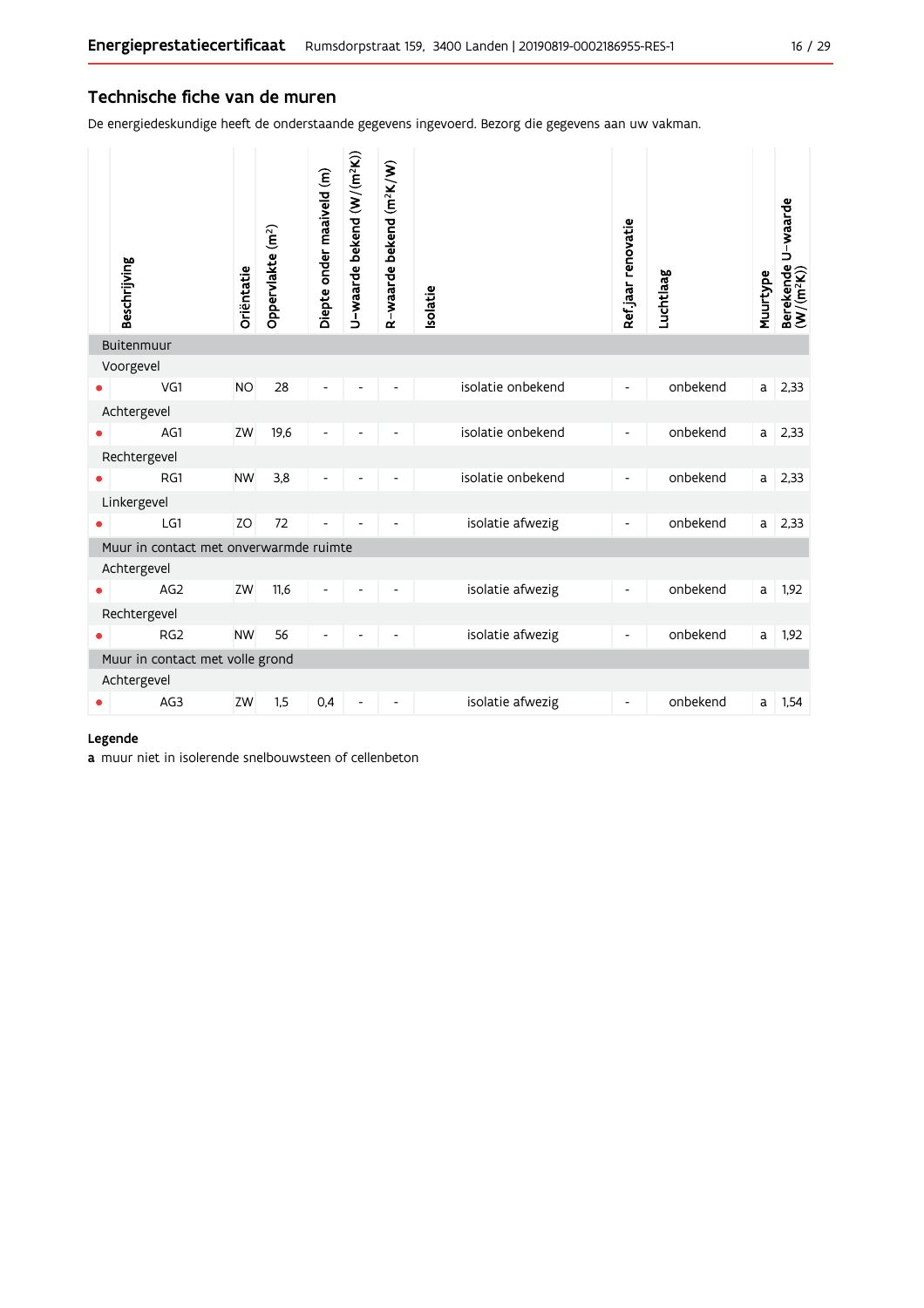### Technische fiche van de muren

De energiedeskundige heeft de onderstaande gegevens ingevoerd. Bezorg die gegevens aan uw vakman.

| Beschrijving                           | Oriëntatie | Oppervlakte (m <sup>2</sup> ) | Diepte onder maaiveld (m) | U-waarde bekend (W/(m <sup>2</sup> K)) | R-waarde bekend (m <sup>2</sup> K/W) | solatie           | Ref.jaar renovatie       | Luchtlaag | Muurtype | Berekende U-waarde<br>(W/(m <sup>2</sup> K)) |
|----------------------------------------|------------|-------------------------------|---------------------------|----------------------------------------|--------------------------------------|-------------------|--------------------------|-----------|----------|----------------------------------------------|
| <b>Buitenmuur</b>                      |            |                               |                           |                                        |                                      |                   |                          |           |          |                                              |
| Voorgevel                              |            |                               |                           |                                        |                                      |                   |                          |           |          |                                              |
| VG1                                    | <b>NO</b>  | 28                            |                           |                                        |                                      | isolatie onbekend | $\overline{\phantom{a}}$ | onbekend  | a l      | 2,33                                         |
| Achtergevel                            |            |                               |                           |                                        |                                      |                   |                          |           |          |                                              |
| AG1                                    | ZW         | 19,6                          |                           |                                        |                                      | isolatie onbekend | $\overline{\phantom{a}}$ | onbekend  | a        | 2,33                                         |
| Rechtergevel                           |            |                               |                           |                                        |                                      |                   |                          |           |          |                                              |
| RG1                                    | <b>NW</b>  | 3,8                           |                           |                                        |                                      | isolatie onbekend | $\overline{\phantom{a}}$ | onbekend  | a        | 2,33                                         |
| Linkergevel                            |            |                               |                           |                                        |                                      |                   |                          |           |          |                                              |
| LG1                                    | ZO         | 72                            |                           |                                        |                                      | isolatie afwezig  | $\overline{\phantom{a}}$ | onbekend  | a        | 2,33                                         |
| Muur in contact met onverwarmde ruimte |            |                               |                           |                                        |                                      |                   |                          |           |          |                                              |
| Achtergevel                            |            |                               |                           |                                        |                                      |                   |                          |           |          |                                              |
| AG <sub>2</sub>                        | ZW         | 11,6                          | Ĭ.                        |                                        |                                      | isolatie afwezig  | $\overline{\phantom{a}}$ | onbekend  | a        | 1,92                                         |
| Rechtergevel                           |            |                               |                           |                                        |                                      |                   |                          |           |          |                                              |
| RG <sub>2</sub>                        | <b>NW</b>  | 56                            |                           |                                        |                                      | isolatie afwezig  | $\overline{\phantom{a}}$ | onbekend  | a        | 1,92                                         |
| Muur in contact met volle grond        |            |                               |                           |                                        |                                      |                   |                          |           |          |                                              |
| Achtergevel                            |            |                               |                           |                                        |                                      |                   |                          |           |          |                                              |
| AG3                                    | ZW         | 1,5                           | 0,4                       | $\overline{a}$                         |                                      | isolatie afwezig  | $\overline{\phantom{a}}$ | onbekend  | a        | 1,54                                         |

#### Legende

a muur niet in isolerende snelbouwsteen of cellenbeton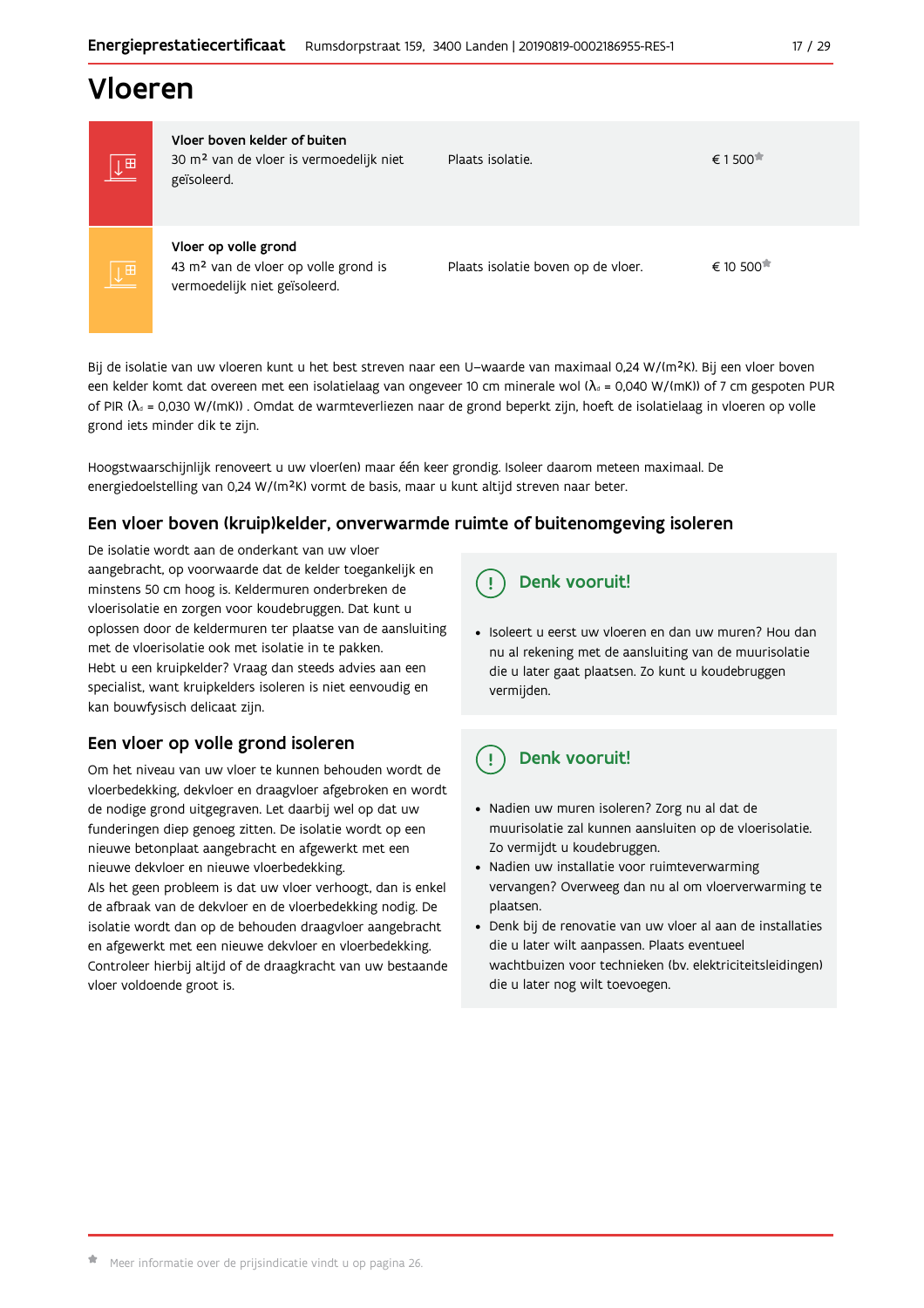## Vloeren

| $\sqrt{m}$ | Vloer boven kelder of buiten<br>30 m <sup>2</sup> van de vloer is vermoedelijk niet<br>geïsoleerd.        | Plaats isolatie.                   | € 1500 $π$ |
|------------|-----------------------------------------------------------------------------------------------------------|------------------------------------|------------|
| $\sqrt{p}$ | Vloer op volle grond<br>43 m <sup>2</sup> van de vloer op volle grond is<br>vermoedelijk niet geïsoleerd. | Plaats isolatie boven op de vloer. | € 10 500   |

Bij de isolatie van uw vloeren kunt u het best streven naar een U-waarde van maximaal 0,24 W/(m<sup>2</sup>K). Bij een vloer boven een kelder komt dat overeen met een isolatielaag van ongeveer 10 cm minerale wol ( $\lambda_d$  = 0,040 W/(mK)) of 7 cm gespoten PUR of PIR ( $\lambda_4$  = 0,030 W/(mK)). Omdat de warmteverliezen naar de grond beperkt zijn, hoeft de isolatielaag in vloeren op volle grond iets minder dik te zijn.

Hoogstwaarschijnlijk renoveert u uw vloer(en) maar één keer grondig. Isoleer daarom meteen maximaal. De energiedoelstelling van 0,24 W/(m<sup>2</sup>K) vormt de basis, maar u kunt altijd streven naar beter.

## Een vloer boven (kruip) kelder, onverwarmde ruimte of buitenomgeving isoleren

De isolatie wordt aan de onderkant van uw vloer aangebracht, op voorwaarde dat de kelder toegankelijk en minstens 50 cm hoog is. Keldermuren onderbreken de vloerisolatie en zorgen voor koudebruggen. Dat kunt u oplossen door de keldermuren ter plaatse van de aansluiting met de vloerisolatie ook met isolatie in te pakken. Hebt u een kruipkelder? Vraag dan steeds advies aan een specialist, want kruipkelders isoleren is niet eenvoudig en kan bouwfysisch delicaat zijn.

## Een vloer op volle grond isoleren

Om het niveau van uw vloer te kunnen behouden wordt de vloerbedekking, dekvloer en draagvloer afgebroken en wordt de nodige grond uitgegraven. Let daarbij wel op dat uw funderingen diep genoeg zitten. De isolatie wordt op een nieuwe betonplaat aangebracht en afgewerkt met een nieuwe dekvloer en nieuwe vloerbedekking.

Als het geen probleem is dat uw vloer verhoogt, dan is enkel de afbraak van de dekvloer en de vloerbedekking nodig. De isolatie wordt dan op de behouden draagvloer aangebracht en afgewerkt met een nieuwe dekvloer en vloerbedekking. Controleer hierbij altijd of de draagkracht van uw bestaande vloer voldoende groot is.

## Denk vooruit!

· Isoleert u eerst uw vloeren en dan uw muren? Hou dan nu al rekening met de aansluiting van de muurisolatie die u later gaat plaatsen. Zo kunt u koudebruggen vermijden.

#### Ţ Denk vooruit!

- · Nadien uw muren isoleren? Zorg nu al dat de muurisolatie zal kunnen aansluiten op de vloerisolatie. Zo vermijdt u koudebruggen.
- Nadien uw installatie voor ruimteverwarming vervangen? Overweeg dan nu al om vloerverwarming te plaatsen.
- · Denk bij de renovatie van uw vloer al aan de installaties die u later wilt aanpassen. Plaats eventueel wachtbuizen voor technieken (bv. elektriciteitsleidingen) die u later nog wilt toevoegen.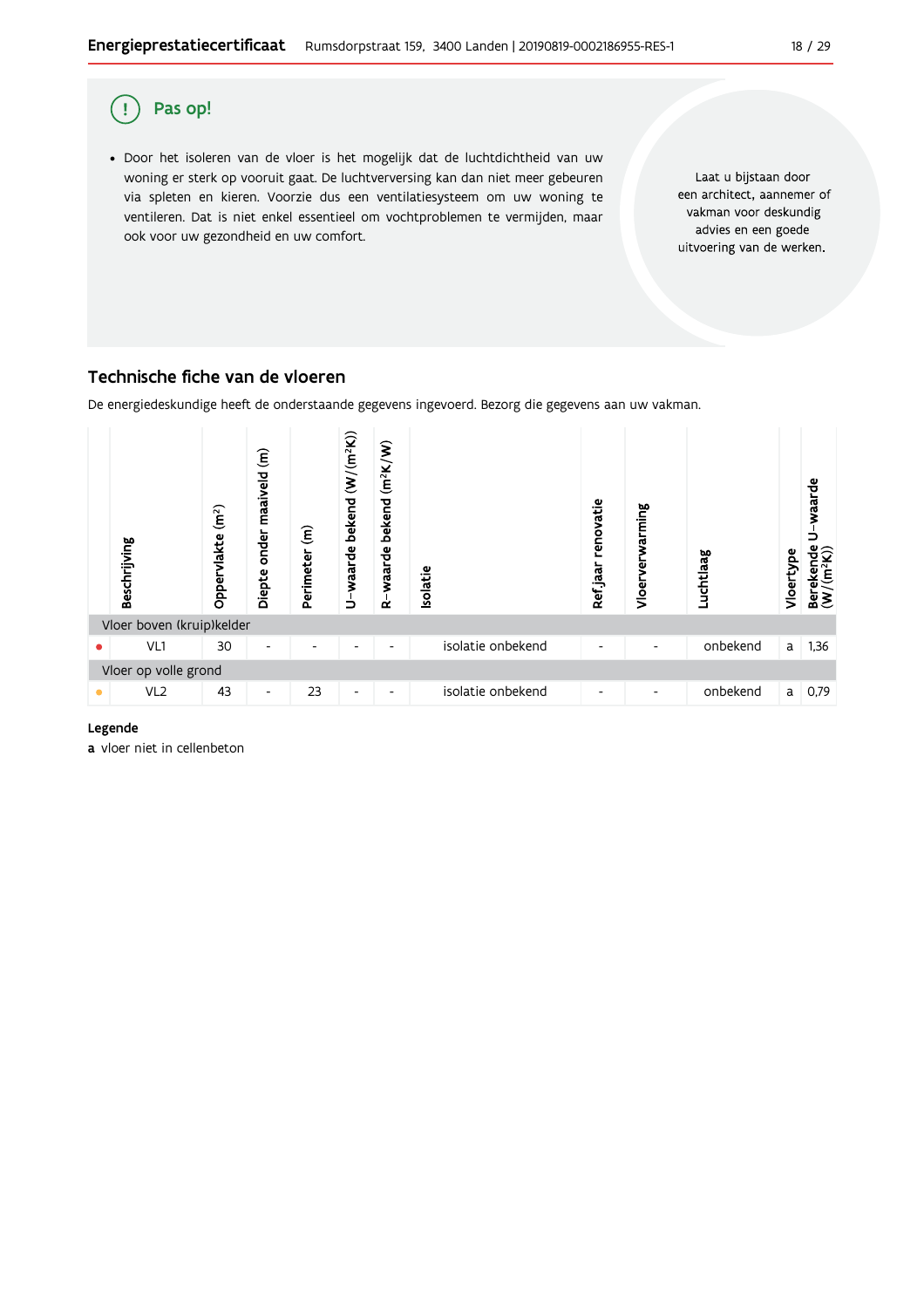

## Pas op!  $\mathbf{I}$ · Door het isoleren van de vloer is het mogelijk dat de luchtdichtheid van uw Laat u bijstaan door woning er sterk op vooruit gaat. De luchtverversing kan dan niet meer gebeuren een architect, aannemer of via spleten en kieren. Voorzie dus een ventilatiesysteem om uw woning te vakman voor deskundig ventileren. Dat is niet enkel essentieel om vochtproblemen te vermijden, maar advies en een goede ook voor uw gezondheid en uw comfort. uitvoering van de werken.

## Technische fiche van de vloeren

De energiedeskundige heeft de onderstaande gegevens ingevoerd. Bezorg die gegevens aan uw vakman.



#### Legende

a vloer niet in cellenbeton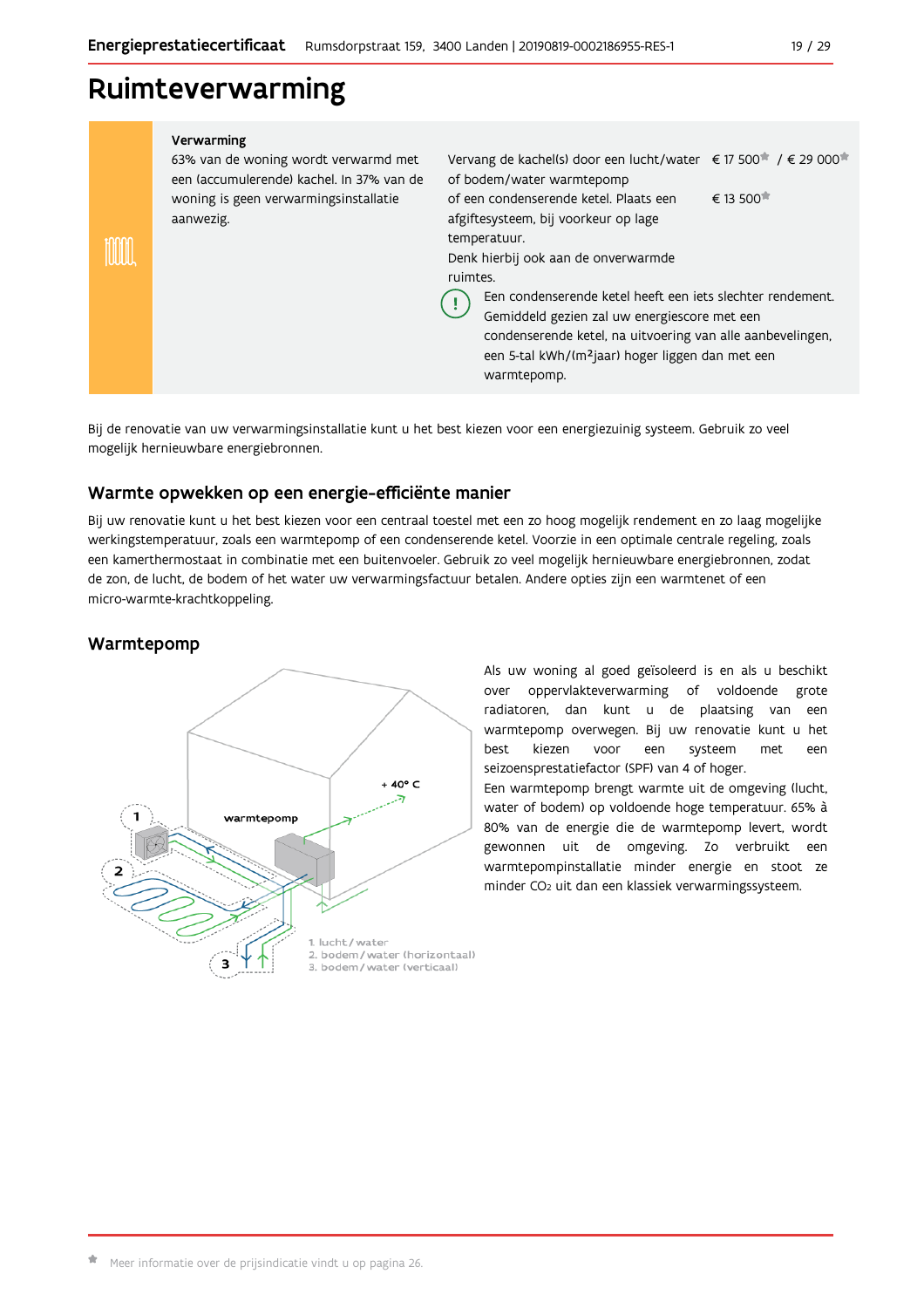## Ruimteverwarming

#### Verwarming 63% van de woning wordt verwarmd met Vervang de kachel(s) door een lucht/water € 17 500<sup>\*</sup> / € 29 000<sup>\*</sup> een (accumulerende) kachel. In 37% van de of bodem/water warmtepomp € 13 500 woning is geen verwarmingsinstallatie of een condenserende ketel. Plaats een aanwezig. afgiftesysteem, bij voorkeur op lage temperatuur. m Denk hierbij ook aan de onverwarmde ruimtes Een condenserende ketel heeft een iets slechter rendement. Ţ Gemiddeld gezien zal uw energiescore met een condenserende ketel, na uitvoering van alle aanbevelingen, een 5-tal kWh/(m<sup>2</sup>jaar) hoger liggen dan met een warmtepomp.

Bij de renovatie van uw verwarmingsinstallatie kunt u het best kiezen voor een energiezuinig systeem. Gebruik zo veel mogelijk hernieuwbare energiebronnen.

### Warmte opwekken op een energie-efficiënte manier

Bij uw renovatie kunt u het best kiezen voor een centraal toestel met een zo hoog mogelijk rendement en zo laag mogelijke werkingstemperatuur, zoals een warmtepomp of een condenserende ketel. Voorzie in een optimale centrale regeling, zoals een kamerthermostaat in combinatie met een buitenvoeler. Gebruik zo veel mogelijk hernieuwbare energiebronnen, zodat de zon, de lucht, de bodem of het water uw verwarmingsfactuur betalen. Andere opties zijn een warmtenet of een micro-warmte-krachtkoppeling.

## Warmtepomp



Als uw woning al goed geïsoleerd is en als u beschikt oppervlakteverwarming of voldoende grote over radiatoren, dan kunt u de plaatsing van een warmtepomp overwegen. Bij uw renovatie kunt u het best kiezen voor een systeem met een seizoensprestatiefactor (SPF) van 4 of hoger.

Een warmtepomp brengt warmte uit de omgeving (lucht, water of bodem) op voldoende hoge temperatuur. 65% à 80% van de energie die de warmtepomp levert, wordt gewonnen uit de omgeving. Zo verbruikt een warmtepompinstallatie minder energie en stoot ze minder CO<sub>2</sub> uit dan een klassiek verwarmingssysteem.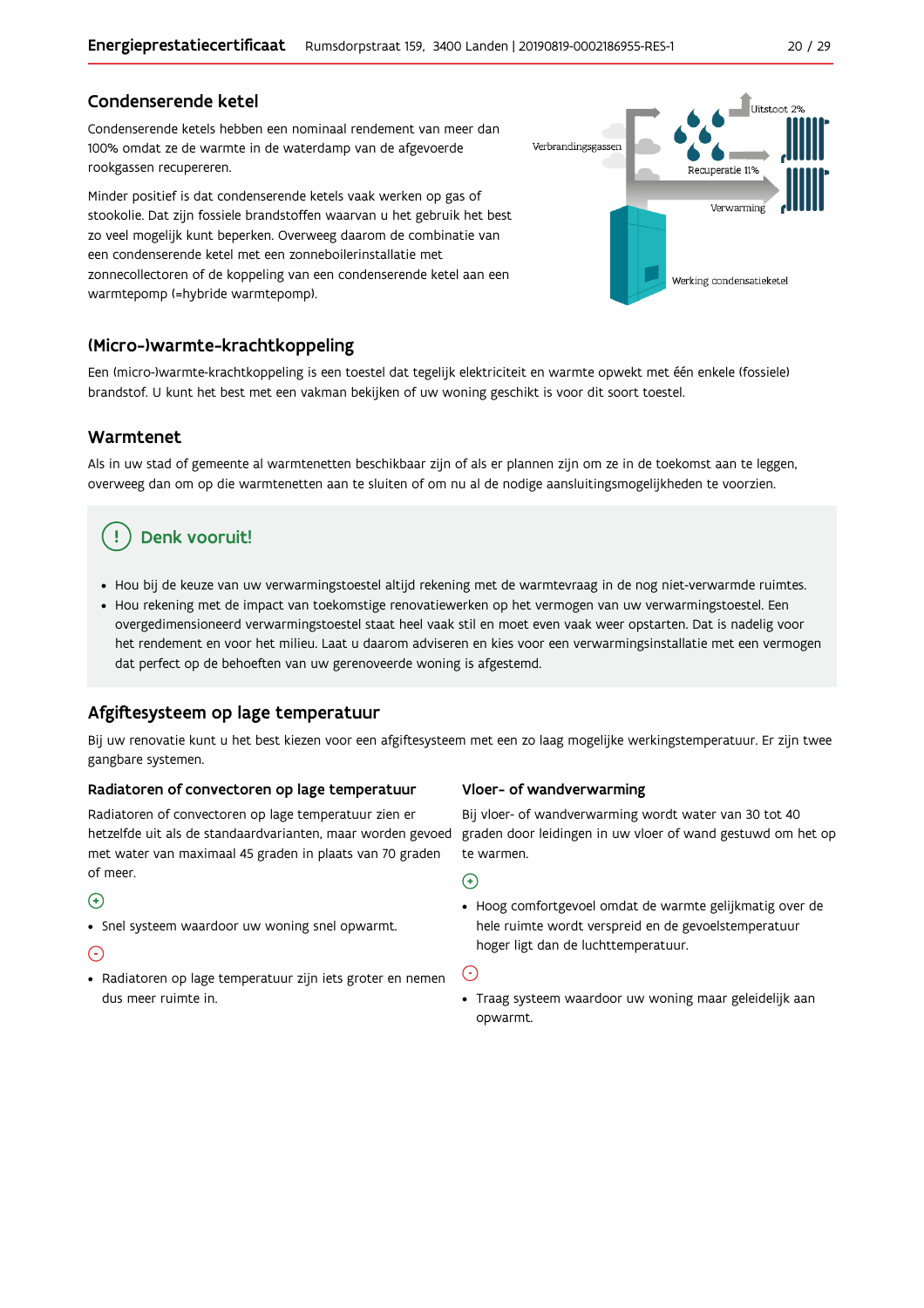### Condenserende ketel

Condenserende ketels hebben een nominaal rendement van meer dan 100% omdat ze de warmte in de waterdamp van de afgevoerde rookgassen recupereren.

Minder positief is dat condenserende ketels vaak werken op gas of stookolie. Dat zijn fossiele brandstoffen waarvan u het gebruik het best zo veel mogelijk kunt beperken. Overweeg daarom de combinatie van een condenserende ketel met een zonneboilerinstallatie met zonnecollectoren of de koppeling van een condenserende ketel aan een warmtepomp (=hybride warmtepomp).



### (Micro-)warmte-krachtkoppeling

Een (micro-)warmte-krachtkoppeling is een toestel dat tegelijk elektriciteit en warmte opwekt met één enkele (fossiele) brandstof. U kunt het best met een vakman bekijken of uw woning geschikt is voor dit soort toestel.

#### Warmtenet

Als in uw stad of gemeente al warmtenetten beschikbaar zijn of als er plannen zijn om ze in de toekomst aan te leggen, overweeg dan om op die warmtenetten aan te sluiten of om nu al de nodige aansluitingsmogelijkheden te voorzien.

#### Denk vooruit! J.

- · Hou bij de keuze van uw verwarmingstoestel altijd rekening met de warmtevraag in de nog niet-verwarmde ruimtes.
- Hou rekening met de impact van toekomstige renovatiewerken op het vermogen van uw verwarmingstoestel. Een overgedimensioneerd verwarmingstoestel staat heel vaak stil en moet even vaak weer opstarten. Dat is nadelig voor het rendement en voor het milieu. Laat u daarom adviseren en kies voor een verwarmingsinstallatie met een vermogen dat perfect op de behoeften van uw gerenoveerde woning is afgestemd.

### Afgiftesysteem op lage temperatuur

Bij uw renovatie kunt u het best kiezen voor een afgiftesysteem met een zo laag mogelijke werkingstemperatuur. Er zijn twee gangbare systemen.

#### Radiatoren of convectoren op lage temperatuur

Radiatoren of convectoren op lage temperatuur zien er hetzelfde uit als de standaardvarianten, maar worden gevoed met water van maximaal 45 graden in plaats van 70 graden of meer.

#### $\left( \begin{matrix} + \end{matrix} \right)$

• Snel systeem waardoor uw woning snel opwarmt.

#### $\left( -\right)$

· Radiatoren op lage temperatuur zijn iets groter en nemen dus meer ruimte in.

#### Vloer- of wandverwarming

Bij vloer- of wandverwarming wordt water van 30 tot 40 graden door leidingen in uw vloer of wand gestuwd om het op te warmen.

#### $\bigoplus$

• Hoog comfortgevoel omdat de warmte gelijkmatig over de hele ruimte wordt verspreid en de gevoelstemperatuur hoger ligt dan de luchttemperatuur.

## $(\cdot)$

• Traag systeem waardoor uw woning maar geleidelijk aan opwarmt.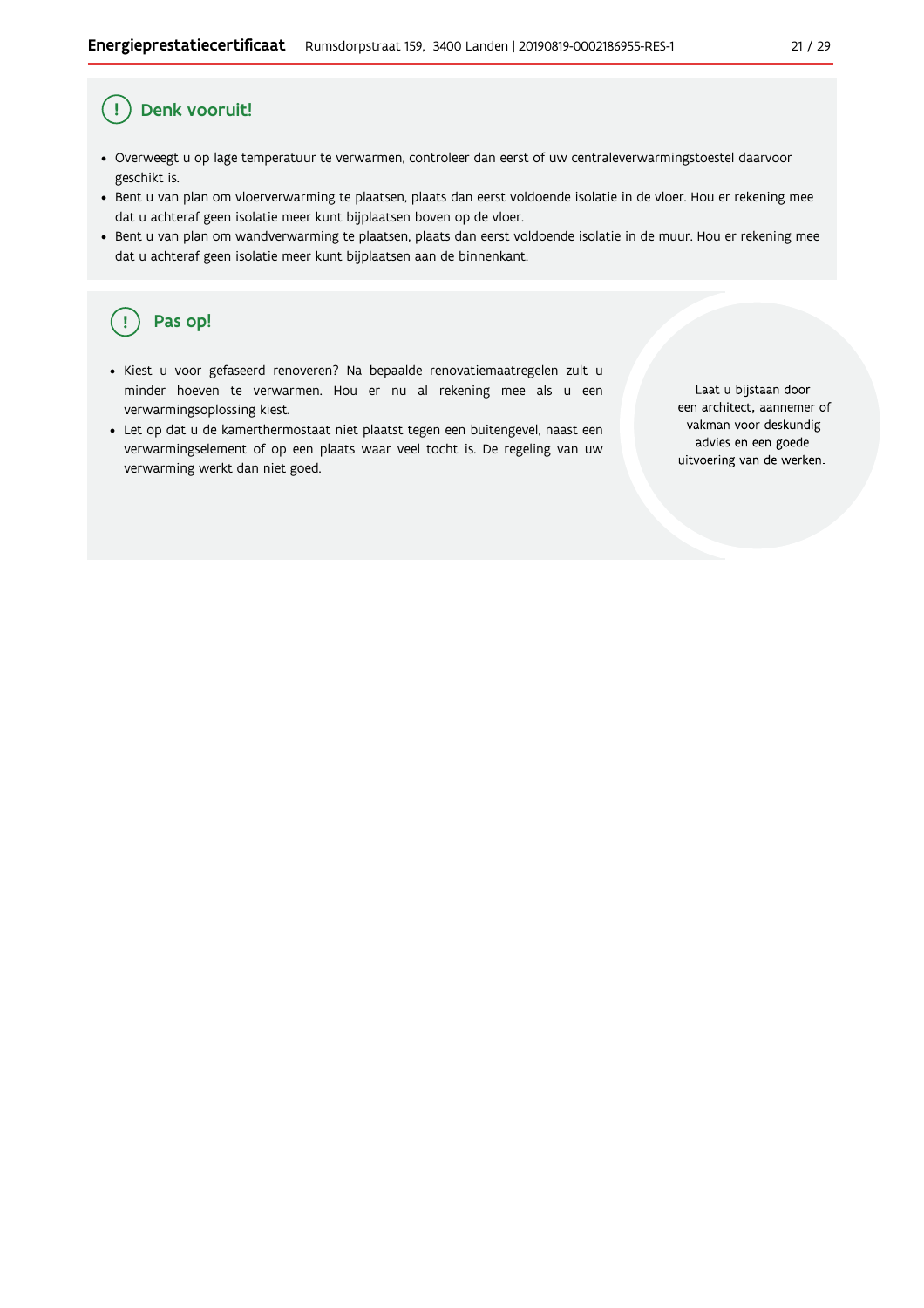#### Ţ Denk vooruit!

- · Overweegt u op lage temperatuur te verwarmen, controleer dan eerst of uw centraleverwarmingstoestel daarvoor geschikt is.
- · Bent u van plan om vloerverwarming te plaatsen, plaats dan eerst voldoende isolatie in de vloer. Hou er rekening mee dat u achteraf geen isolatie meer kunt bijplaatsen boven op de vloer.
- · Bent u van plan om wandverwarming te plaatsen, plaats dan eerst voldoende isolatie in de muur. Hou er rekening mee dat u achteraf geen isolatie meer kunt bijplaatsen aan de binnenkant.

#### ŋ Pas op!

- · Kiest u voor gefaseerd renoveren? Na bepaalde renovatiemaatregelen zult u minder hoeven te verwarmen. Hou er nu al rekening mee als u een verwarmingsoplossing kiest.
- Let op dat u de kamerthermostaat niet plaatst tegen een buitengevel, naast een verwarmingselement of op een plaats waar veel tocht is. De regeling van uw verwarming werkt dan niet goed.

Laat u bijstaan door een architect, aannemer of vakman voor deskundig advies en een goede uitvoering van de werken.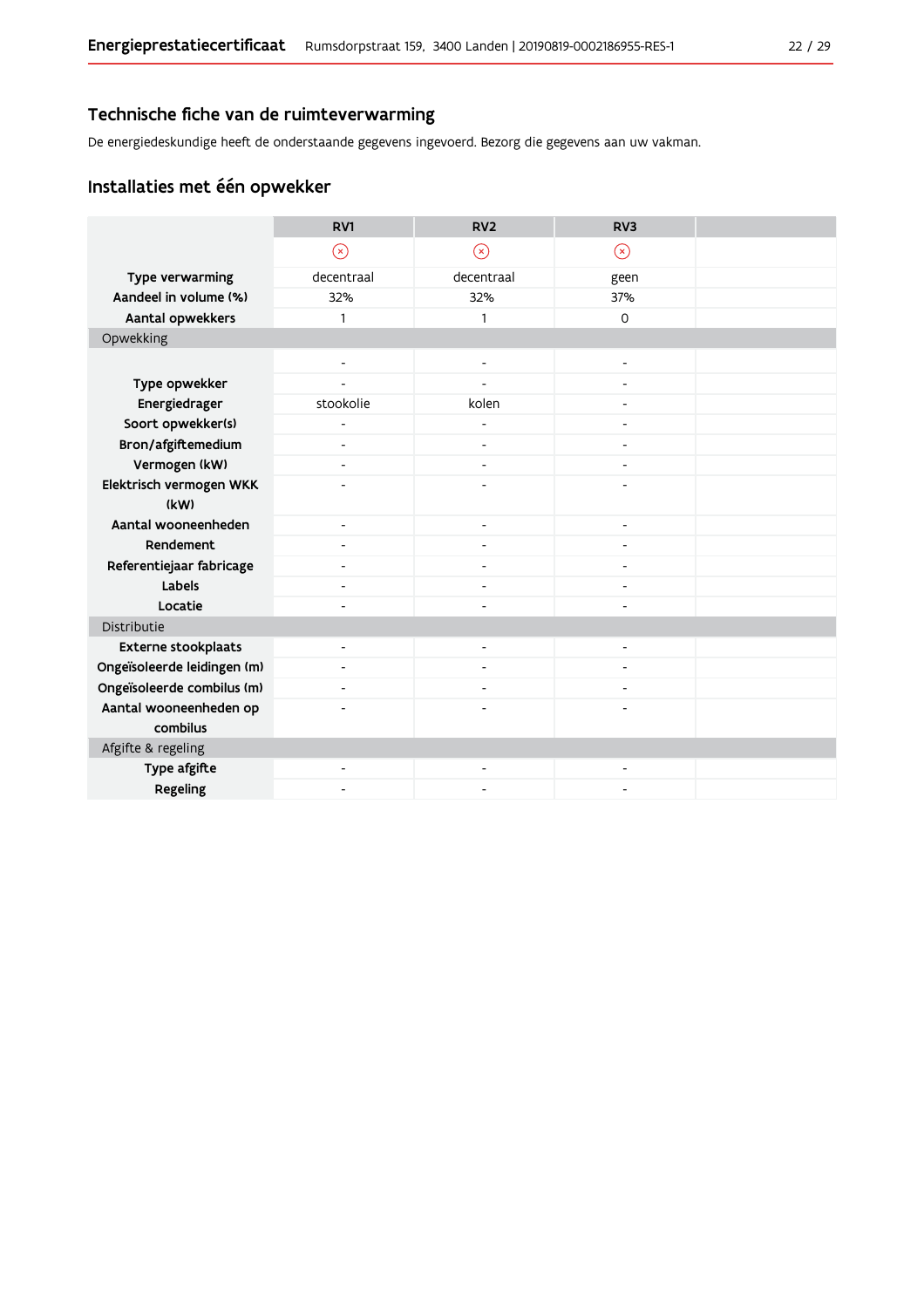## Technische fiche van de ruimteverwarming

De energiedeskundige heeft de onderstaande gegevens ingevoerd. Bezorg die gegevens aan uw vakman.

## Installaties met één opwekker

|                             | RV1                      | RV <sub>2</sub>          | RV <sub>3</sub>              |  |
|-----------------------------|--------------------------|--------------------------|------------------------------|--|
|                             | $\circledR$              | $\circledast$            | $\circledR$                  |  |
| Type verwarming             | decentraal               | decentraal               | geen                         |  |
| Aandeel in volume (%)       | 32%                      | 32%                      | 37%                          |  |
| Aantal opwekkers            | 1                        | $\mathbf{1}$             | $\Omega$                     |  |
| Opwekking                   |                          |                          |                              |  |
|                             | ٠                        | $\overline{a}$           | $\overline{a}$               |  |
| Type opwekker               |                          |                          |                              |  |
| Energiedrager               | stookolie                | kolen                    | $\overline{a}$               |  |
| Soort opwekker(s)           | $\overline{a}$           |                          | $\overline{a}$               |  |
| Bron/afgiftemedium          | $\overline{\phantom{a}}$ | $\overline{\phantom{a}}$ | $\overline{a}$               |  |
| Vermogen (kW)               | ٠                        |                          |                              |  |
| Elektrisch vermogen WKK     | ٠                        | L,                       | $\overline{a}$               |  |
| (kW)                        |                          |                          |                              |  |
| Aantal wooneenheden         | $\overline{\phantom{a}}$ | $\overline{\phantom{a}}$ | $\overline{\phantom{a}}$     |  |
| Rendement                   | $\overline{\phantom{a}}$ | $\overline{\phantom{a}}$ | $\qquad \qquad \blacksquare$ |  |
| Referentiejaar fabricage    | ٠                        |                          | $\overline{a}$               |  |
| Labels                      | $\overline{\phantom{a}}$ | $\overline{\phantom{a}}$ | $\overline{a}$               |  |
| Locatie                     | $\overline{a}$           |                          |                              |  |
| Distributie                 |                          |                          |                              |  |
| <b>Externe stookplaats</b>  | -                        | ٠                        |                              |  |
| Ongeïsoleerde leidingen (m) | $\overline{\phantom{a}}$ | ٠                        |                              |  |
| Ongeïsoleerde combilus (m)  | $\blacksquare$           | $\blacksquare$           | $\overline{\phantom{a}}$     |  |
| Aantal wooneenheden op      |                          |                          |                              |  |
| combilus                    |                          |                          |                              |  |
| Afgifte & regeling          |                          |                          |                              |  |
| Type afgifte                | $\overline{\phantom{a}}$ | $\overline{\phantom{a}}$ | $\qquad \qquad \blacksquare$ |  |
| Regeling                    |                          |                          |                              |  |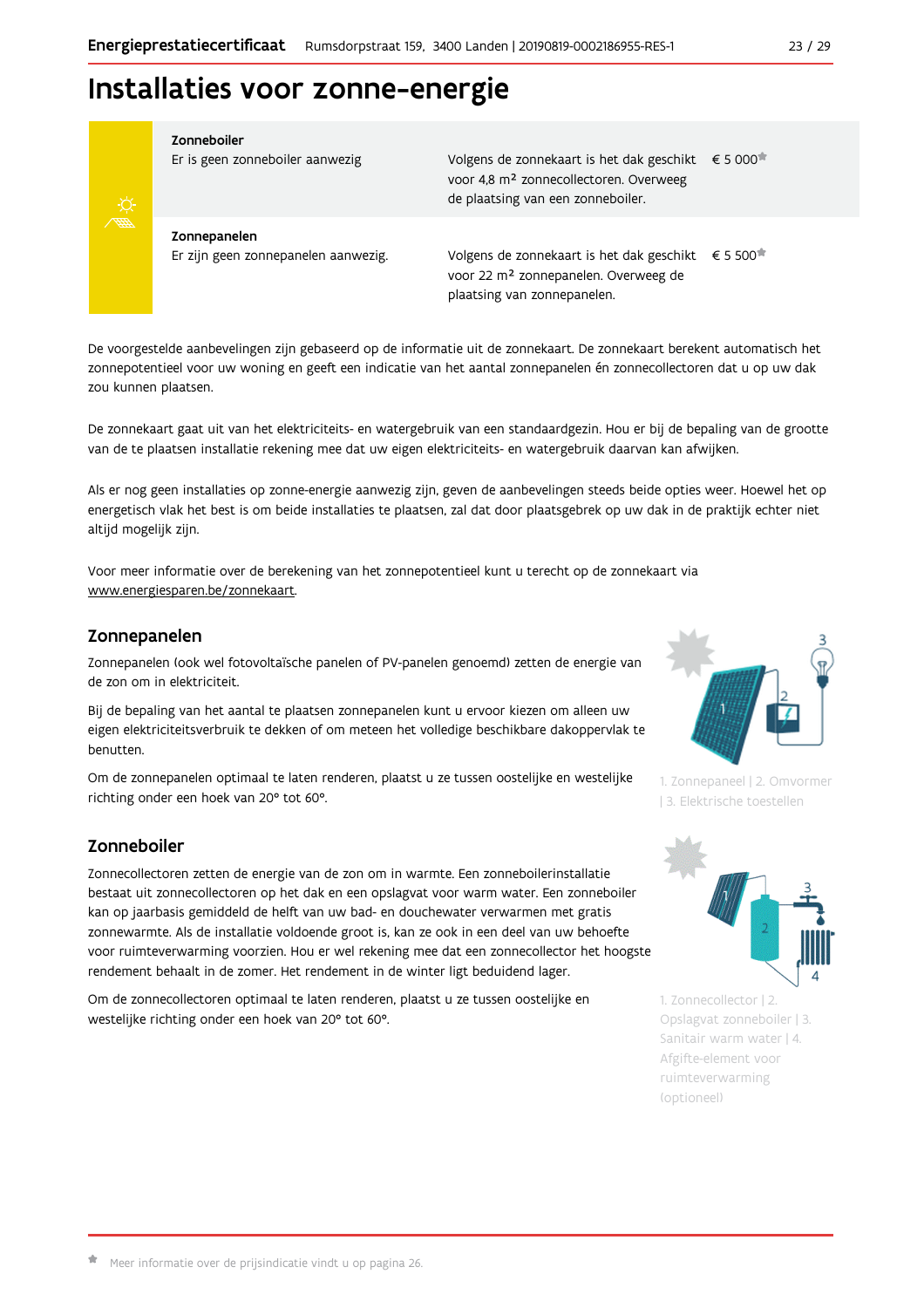## Installaties voor zonne-energie



#### Zonneboiler

Zonnepanelen

Er is geen zonneboiler aanwezig

Er zijn geen zonnepanelen aanwezig.

Volgens de zonnekaart is het dak geschikt € 5 000 voor 4,8 m<sup>2</sup> zonnecollectoren. Overweeg de plaatsing van een zonneboiler.

Volgens de zonnekaart is het dak geschikt € 5 500<sup>\*</sup> voor 22 m<sup>2</sup> zonnepanelen. Overweeg de plaatsing van zonnepanelen.

De voorgestelde aanbevelingen zijn gebaseerd op de informatie uit de zonnekaart. De zonnekaart berekent automatisch het zonnepotentieel voor uw woning en geeft een indicatie van het aantal zonnepanelen én zonnecollectoren dat u op uw dak zou kunnen plaatsen.

De zonnekaart gaat uit van het elektriciteits- en watergebruik van een standaardgezin. Hou er bij de bepaling van de grootte van de te plaatsen installatie rekening mee dat uw eigen elektriciteits- en watergebruik daarvan kan afwijken.

Als er nog geen installaties op zonne-energie aanwezig zijn, geven de aanbevelingen steeds beide opties weer. Hoewel het op energetisch vlak het best is om beide installaties te plaatsen, zal dat door plaatsgebrek op uw dak in de praktijk echter niet altijd mogelijk zijn.

Voor meer informatie over de berekening van het zonnepotentieel kunt u terecht op de zonnekaart via www.energiesparen.be/zonnekaart.

#### Zonnepanelen

Zonnepanelen (ook wel fotovoltaïsche panelen of PV-panelen genoemd) zetten de energie van de zon om in elektriciteit.

Bij de bepaling van het aantal te plaatsen zonnepanelen kunt u ervoor kiezen om alleen uw eigen elektriciteitsverbruik te dekken of om meteen het volledige beschikbare dakoppervlak te benutten.

Om de zonnepanelen optimaal te laten renderen, plaatst u ze tussen oostelijke en westelijke richting onder een hoek van 20° tot 60°.

### Zonneboiler

Zonnecollectoren zetten de energie van de zon om in warmte. Een zonneboilerinstallatie bestaat uit zonnecollectoren op het dak en een opslagvat voor warm water. Een zonneboiler kan op jaarbasis gemiddeld de helft van uw bad- en douchewater verwarmen met gratis zonnewarmte. Als de installatie voldoende groot is, kan ze ook in een deel van uw behoefte voor ruimteverwarming voorzien. Hou er wel rekening mee dat een zonnecollector het hoogste rendement behaalt in de zomer. Het rendement in de winter ligt beduidend lager.

Om de zonnecollectoren optimaal te laten renderen, plaatst u ze tussen oostelijke en westelijke richting onder een hoek van 20° tot 60°.



1. Zonnepaneel | 2. Omvormer | 3. Elektrische toestellen



1. Zonnecollector | 2. Opslagvat zonneboiler | 3. Sanitair warm water | 4. Afgifte-element voor ruimteverwarming (optioneel)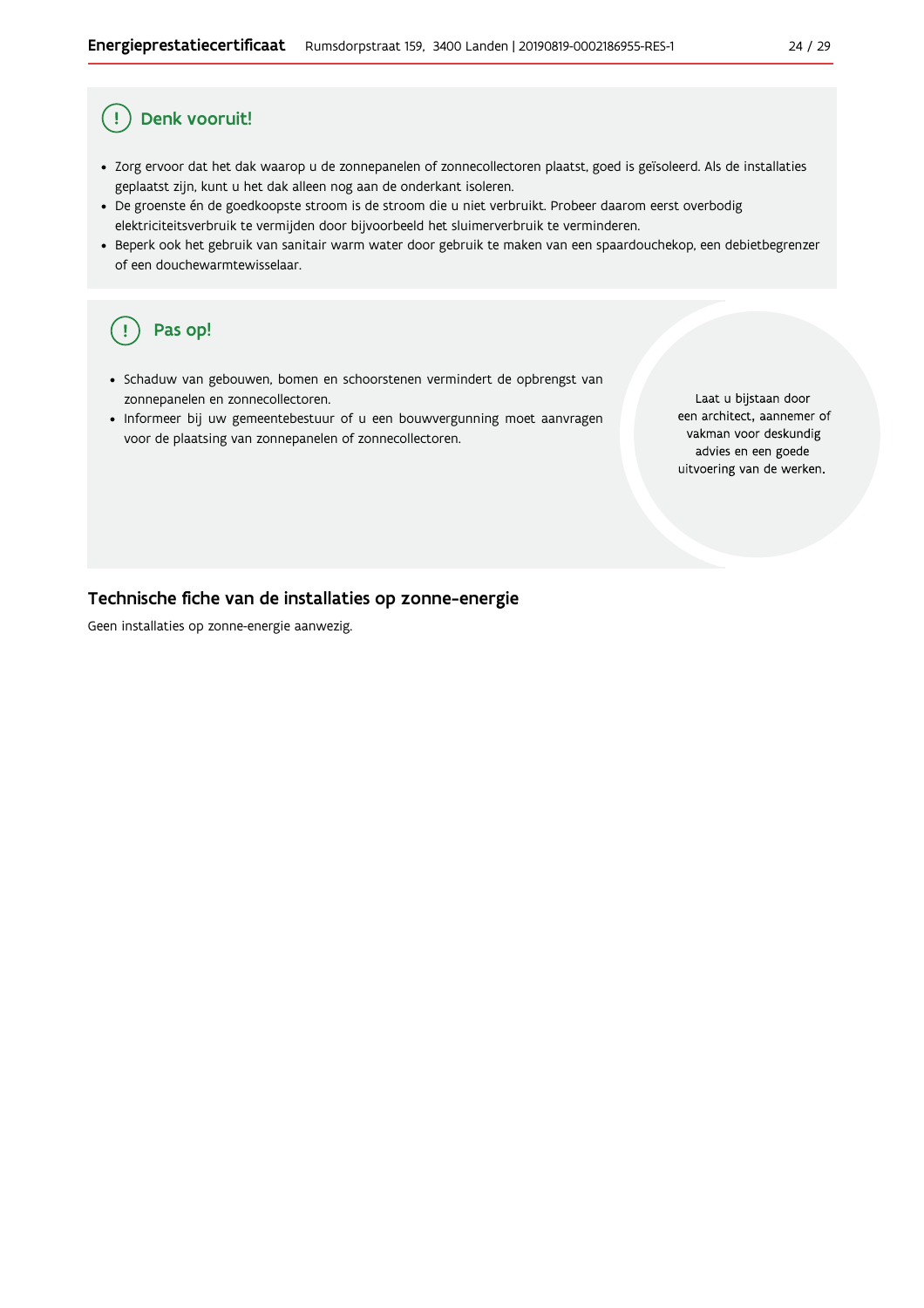#### Ţ Denk vooruit!

- · Zorg ervoor dat het dak waarop u de zonnepanelen of zonnecollectoren plaatst, goed is geïsoleerd. Als de installaties geplaatst zijn, kunt u het dak alleen nog aan de onderkant isoleren.
- · De groenste én de goedkoopste stroom is de stroom die u niet verbruikt. Probeer daarom eerst overbodig elektriciteitsverbruik te vermijden door bijvoorbeeld het sluimerverbruik te verminderen.
- · Beperk ook het gebruik van sanitair warm water door gebruik te maken van een spaardouchekop, een debietbegrenzer of een douchewarmtewisselaar.

#### Pas op!  $\left(\right.$   $\right.$

- · Schaduw van gebouwen, bomen en schoorstenen vermindert de opbrengst van zonnepanelen en zonnecollectoren.
- Informeer bij uw gemeentebestuur of u een bouwvergunning moet aanvragen voor de plaatsing van zonnepanelen of zonnecollectoren.

Laat u bijstaan door een architect, aannemer of vakman voor deskundig advies en een goede uitvoering van de werken.

### Technische fiche van de installaties op zonne-energie

Geen installaties op zonne-energie aanwezig.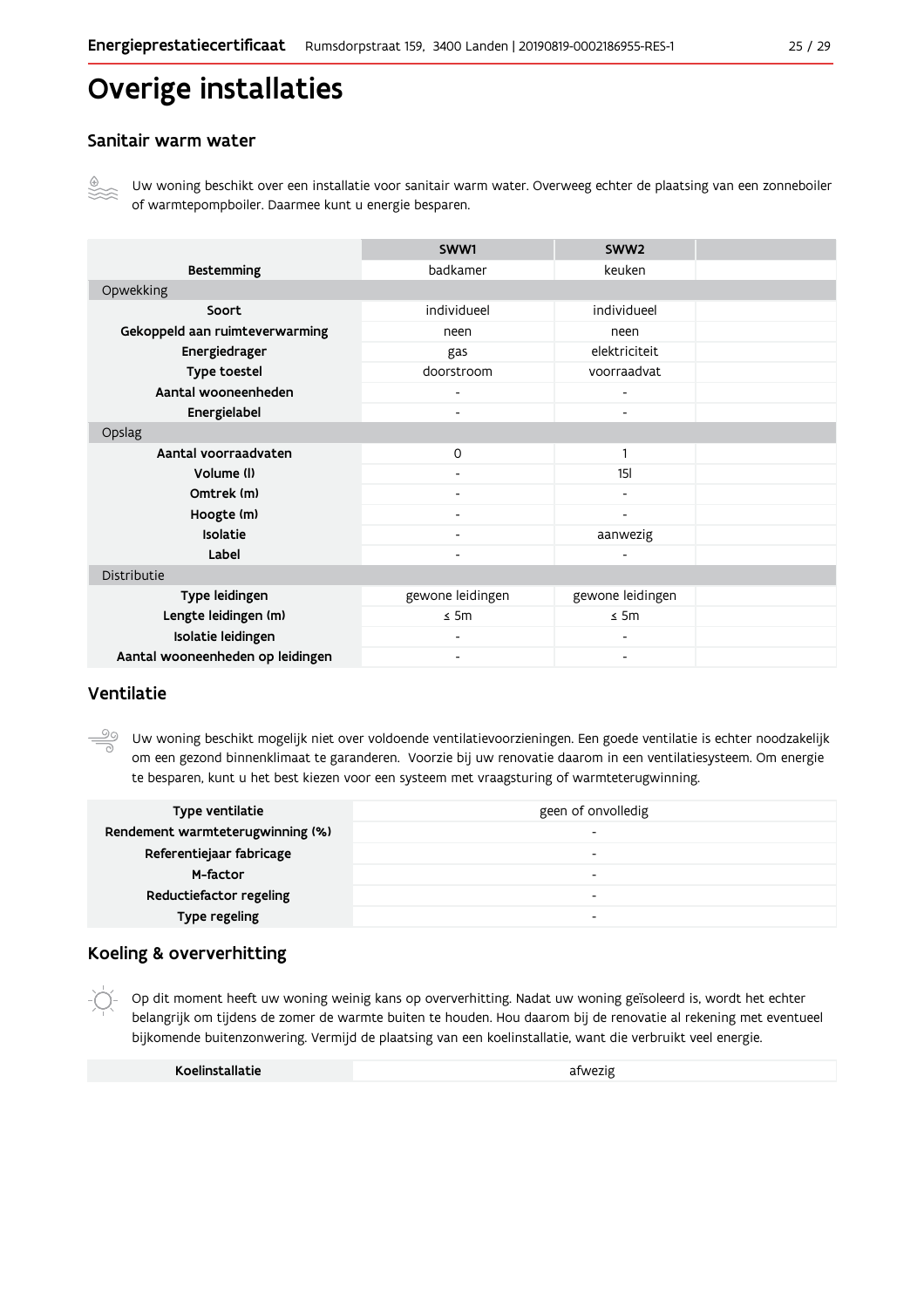## **Overige installaties**

### Sanitair warm water

Uw woning beschikt over een installatie voor sanitair warm water. Overweeg echter de plaatsing van een zonneboiler of warmtepompboiler. Daarmee kunt u energie besparen.

|                                  | SWW1             | SWW <sub>2</sub>             |  |
|----------------------------------|------------------|------------------------------|--|
| <b>Bestemming</b>                | badkamer         | keuken                       |  |
| Opwekking                        |                  |                              |  |
| Soort                            | individueel      | individueel                  |  |
| Gekoppeld aan ruimteverwarming   | neen             | neen                         |  |
| Energiedrager                    | gas              | elektriciteit                |  |
| Type toestel                     | doorstroom       | voorraadvat                  |  |
| Aantal wooneenheden              | ۰                | -                            |  |
| Energielabel                     |                  | ٠                            |  |
| Opslag                           |                  |                              |  |
| Aantal voorraadvaten             | 0                | $\mathbf{1}$                 |  |
| Volume (I)                       | ۰                | 15 <sub>l</sub>              |  |
| Omtrek (m)                       | ٠                | ٠                            |  |
| Hoogte (m)                       |                  | $\qquad \qquad \blacksquare$ |  |
| <b>Isolatie</b>                  |                  | aanwezig                     |  |
| Label                            |                  | $\overline{a}$               |  |
| Distributie                      |                  |                              |  |
| Type leidingen                   | gewone leidingen | gewone leidingen             |  |
| Lengte leidingen (m)             | $\leq$ 5m        | $\leq$ 5m                    |  |
| Isolatie leidingen               |                  |                              |  |
| Aantal wooneenheden op leidingen | ٠                | ٠                            |  |

### Ventilatie

Uw woning beschikt mogelijk niet over voldoende ventilatievoorzieningen. Een goede ventilatie is echter noodzakelijk om een gezond binnenklimaat te garanderen. Voorzie bij uw renovatie daarom in een ventilatiesysteem. Om energie te besparen, kunt u het best kiezen voor een systeem met vraagsturing of warmteterugwinning.

| Type ventilatie                  | geen of onvolledig |
|----------------------------------|--------------------|
| Rendement warmteterugwinning (%) | -                  |
| Referentiejaar fabricage         | -                  |
| M-factor                         | -                  |
| Reductiefactor regeling          | -                  |
| Type regeling                    | -                  |

#### Koeling & oververhitting

Op dit moment heeft uw woning weinig kans op oververhitting. Nadat uw woning geïsoleerd is, wordt het echter belangrijk om tijdens de zomer de warmte buiten te houden. Hou daarom bij de renovatie al rekening met eventueel bijkomende buitenzonwering. Vermijd de plaatsing van een koelinstallatie, want die verbruikt veel energie.

| Koelinstallatie | afwezig |
|-----------------|---------|
|                 |         |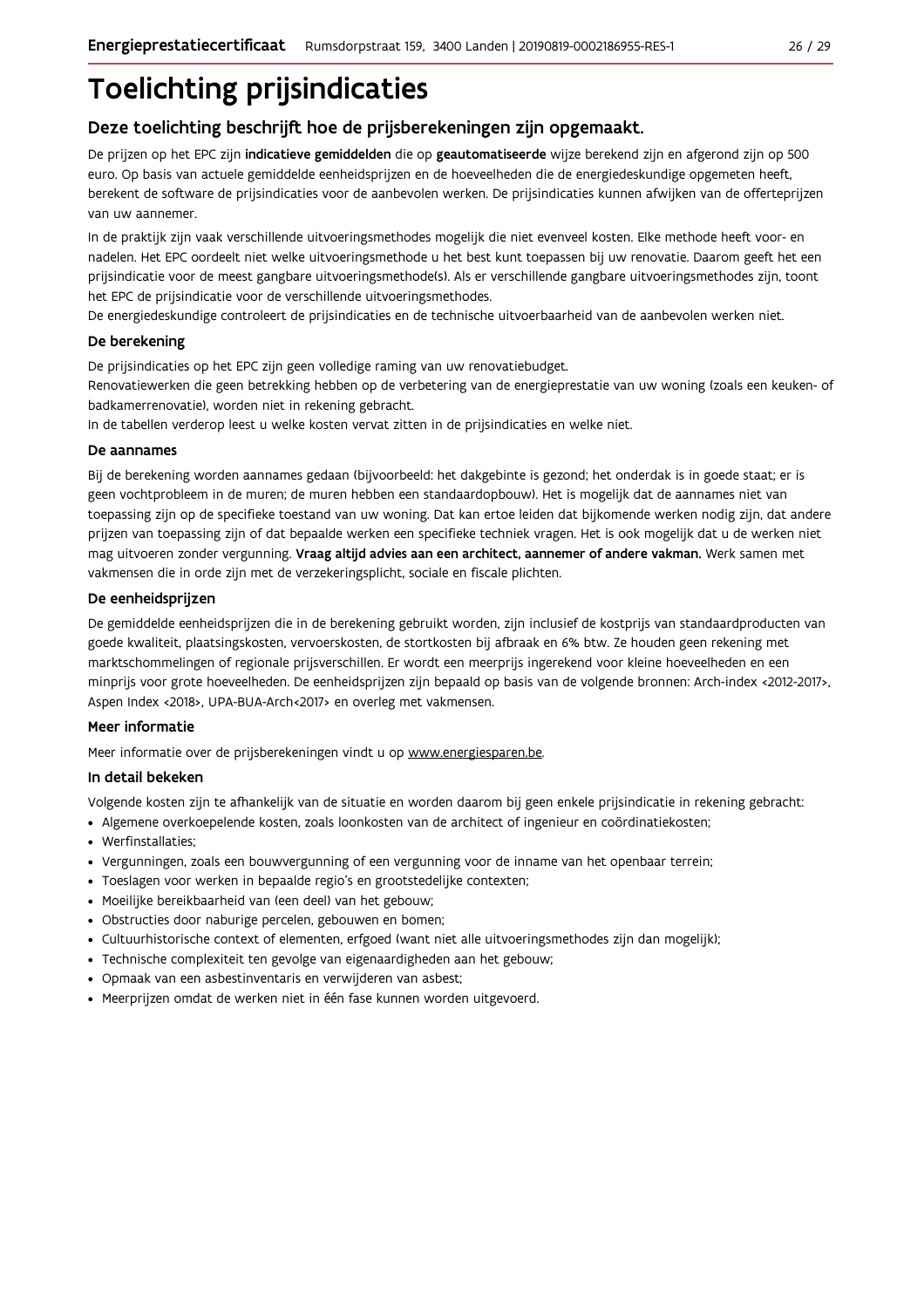## **Toelichting prijsindicaties**

## Deze toelichting beschrijft hoe de prijsberekeningen zijn opgemaakt.

De prijzen op het EPC zijn indicatieve gemiddelden die op geautomatiseerde wijze berekend zijn en afgerond zijn op 500 euro. Op basis van actuele gemiddelde eenheidsprijzen en de hoeveelheden die de energiedeskundige opgemeten heeft, berekent de software de prijsindicaties voor de aanbevolen werken. De prijsindicaties kunnen afwijken van de offerteprijzen van uw aannemer.

In de praktijk zijn vaak verschillende uitvoeringsmethodes mogelijk die niet evenveel kosten. Elke methode heeft voor- en nadelen. Het EPC oordeelt niet welke uitvoeringsmethode u het best kunt toepassen bij uw renovatie. Daarom geeft het een prijsindicatie voor de meest gangbare uitvoeringsmethode(s). Als er verschillende gangbare uitvoeringsmethodes zijn, toont het EPC de prijsindicatie voor de verschillende uitvoeringsmethodes.

De energiedeskundige controleert de prijsindicaties en de technische uitvoerbaarheid van de aanbevolen werken niet.

#### De berekening

De prijsindicaties op het EPC zijn geen volledige raming van uw renovatiebudget.

Renovatiewerken die geen betrekking hebben op de verbetering van de energieprestatie van uw woning (zoals een keuken- of badkamerrenovatie), worden niet in rekening gebracht.

In de tabellen verderop leest u welke kosten vervat zitten in de prijsindicaties en welke niet.

#### De aannames

Bij de berekening worden aannames gedaan (bijvoorbeeld: het dakgebinte is gezond; het onderdak is in goede staat; er is geen vochtprobleem in de muren; de muren hebben een standaardopbouw). Het is mogelijk dat de aannames niet van toepassing zijn op de specifieke toestand van uw woning. Dat kan ertoe leiden dat bijkomende werken nodig zijn, dat andere prijzen van toepassing zijn of dat bepaalde werken een specifieke techniek vragen. Het is ook mogelijk dat u de werken niet mag uitvoeren zonder vergunning. Vraag altijd advies aan een architect, aannemer of andere vakman. Werk samen met vakmensen die in orde zijn met de verzekeringsplicht, sociale en fiscale plichten.

#### De eenheidsprijzen

De gemiddelde eenheidspriizen die in de berekening gebruikt worden, zijn inclusief de kostpriis van standaardproducten van goede kwaliteit, plaatsingskosten, vervoerskosten, de stortkosten bij afbraak en 6% btw. Ze houden geen rekening met marktschommelingen of regionale prijsverschillen. Er wordt een meerprijs ingerekend voor kleine hoeveelheden en een minprijs voor grote hoeveelheden. De eenheidsprijzen zijn bepaald op basis van de volgende bronnen: Arch-index <2012-2017>, Aspen Index <2018>, UPA-BUA-Arch<2017> en overleg met vakmensen.

### Meer informatie

Meer informatie over de prijsberekeningen vindt u op www.energiesparen.be.

### In detail bekeken

Volgende kosten zijn te afhankelijk van de situatie en worden daarom bij geen enkele prijsindicatie in rekening gebracht:

- Algemene overkoepelende kosten, zoals loonkosten van de architect of ingenieur en coördinatiekosten;
- Werfinstallaties:
- · Vergunningen, zoals een bouwvergunning of een vergunning voor de inname van het openbaar terrein;
- Toeslagen voor werken in bepaalde regio's en grootstedelijke contexten:
- · Moeilijke bereikbaarheid van (een deel) van het gebouw;
- · Obstructies door naburige percelen, gebouwen en bomen;
- · Cultuurhistorische context of elementen, erfgoed (want niet alle uitvoeringsmethodes zijn dan mogelijk);
- · Technische complexiteit ten gevolge van eigenaardigheden aan het gebouw;
- · Opmaak van een asbestinventaris en verwijderen van asbest;
- · Meerprijzen omdat de werken niet in één fase kunnen worden uitgevoerd.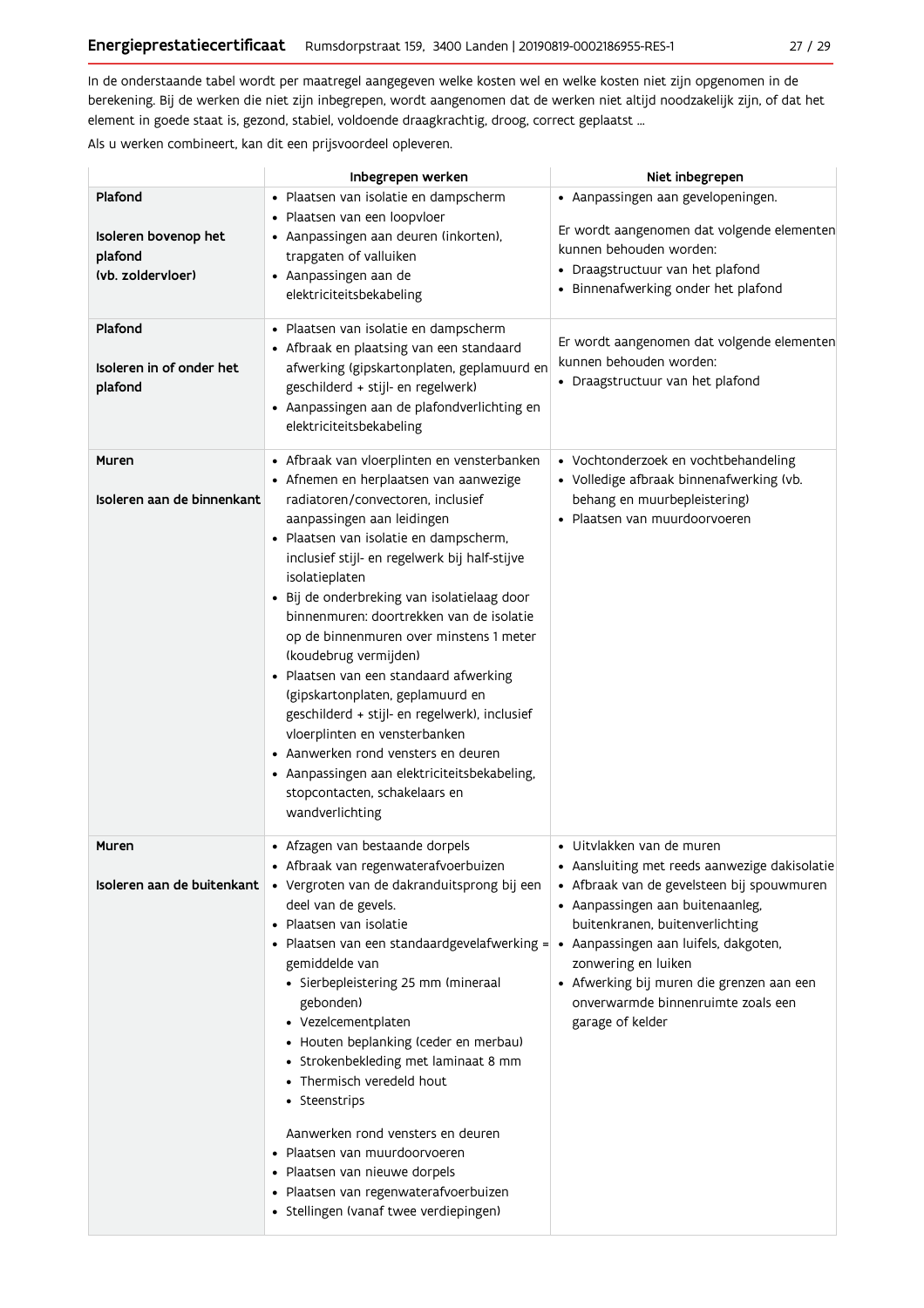In de onderstaande tabel wordt per maatregel aangegeven welke kosten wel en welke kosten niet zijn opgenomen in de berekening. Bij de werken die niet zijn inbegrepen, wordt aangenomen dat de werken niet altijd noodzakelijk zijn, of dat het element in goede staat is, gezond, stabiel, voldoende draagkrachtig, droog, correct geplaatst ...

Als u werken combineert, kan dit een prijsvoordeel opleveren.

|                                                                 | Inbegrepen werken                                                                                                                                                                                                                                                                                                                                                                                                                                                                                                                                                                                                                                                                                                                               | Niet inbegrepen                                                                                                                                                                                                                                                                                                                         |
|-----------------------------------------------------------------|-------------------------------------------------------------------------------------------------------------------------------------------------------------------------------------------------------------------------------------------------------------------------------------------------------------------------------------------------------------------------------------------------------------------------------------------------------------------------------------------------------------------------------------------------------------------------------------------------------------------------------------------------------------------------------------------------------------------------------------------------|-----------------------------------------------------------------------------------------------------------------------------------------------------------------------------------------------------------------------------------------------------------------------------------------------------------------------------------------|
| Plafond<br>Isoleren bovenop het<br>plafond<br>(vb. zoldervloer) | · Plaatsen van isolatie en dampscherm<br>· Plaatsen van een loopvloer<br>• Aanpassingen aan deuren (inkorten),<br>trapgaten of valluiken<br>• Aanpassingen aan de<br>elektriciteitsbekabeling                                                                                                                                                                                                                                                                                                                                                                                                                                                                                                                                                   | • Aanpassingen aan gevelopeningen.<br>Er wordt aangenomen dat volgende elementen<br>kunnen behouden worden:<br>• Draagstructuur van het plafond<br>· Binnenafwerking onder het plafond                                                                                                                                                  |
| Plafond<br>Isoleren in of onder het<br>plafond                  | · Plaatsen van isolatie en dampscherm<br>• Afbraak en plaatsing van een standaard<br>afwerking (gipskartonplaten, geplamuurd en<br>geschilderd + stijl- en regelwerk)<br>• Aanpassingen aan de plafondverlichting en<br>elektriciteitsbekabeling                                                                                                                                                                                                                                                                                                                                                                                                                                                                                                | Er wordt aangenomen dat volgende elementen<br>kunnen behouden worden:<br>• Draagstructuur van het plafond                                                                                                                                                                                                                               |
| Muren<br>Isoleren aan de binnenkant                             | • Afbraak van vloerplinten en vensterbanken<br>• Afnemen en herplaatsen van aanwezige<br>radiatoren/convectoren, inclusief<br>aanpassingen aan leidingen<br>· Plaatsen van isolatie en dampscherm,<br>inclusief stijl- en regelwerk bij half-stijve<br>isolatieplaten<br>· Bij de onderbreking van isolatielaag door<br>binnenmuren: doortrekken van de isolatie<br>op de binnenmuren over minstens 1 meter<br>(koudebrug vermijden)<br>· Plaatsen van een standaard afwerking<br>(gipskartonplaten, geplamuurd en<br>geschilderd + stijl- en regelwerk), inclusief<br>vloerplinten en vensterbanken<br>• Aanwerken rond vensters en deuren<br>• Aanpassingen aan elektriciteitsbekabeling,<br>stopcontacten, schakelaars en<br>wandverlichting | • Vochtonderzoek en vochtbehandeling<br>· Volledige afbraak binnenafwerking (vb.<br>behang en muurbepleistering)<br>· Plaatsen van muurdoorvoeren                                                                                                                                                                                       |
| Muren<br>Isoleren aan de buitenkant                             | • Afzagen van bestaande dorpels<br>· Afbraak van regenwaterafvoerbuizen<br>· Vergroten van de dakranduitsprong bij een<br>deel van de gevels.<br>• Plaatsen van isolatie<br>• Plaatsen van een standaardgevelafwerking = • Aanpassingen aan luifels, dakgoten,<br>gemiddelde van<br>· Sierbepleistering 25 mm (mineraal<br>gebonden)<br>• Vezelcementplaten<br>• Houten beplanking (ceder en merbau)<br>• Strokenbekleding met laminaat 8 mm<br>• Thermisch veredeld hout<br>• Steenstrips<br>Aanwerken rond vensters en deuren<br>• Plaatsen van muurdoorvoeren<br>· Plaatsen van nieuwe dorpels<br>· Plaatsen van regenwaterafvoerbuizen<br>• Stellingen (vanaf twee verdiepingen)                                                            | $\bullet\,$ Uitvlakken van de muren<br>• Aansluiting met reeds aanwezige dakisolatie<br>· Afbraak van de gevelsteen bij spouwmuren<br>· Aanpassingen aan buitenaanleg,<br>buitenkranen, buitenverlichting<br>zonwering en luiken<br>• Afwerking bij muren die grenzen aan een<br>onverwarmde binnenruimte zoals een<br>garage of kelder |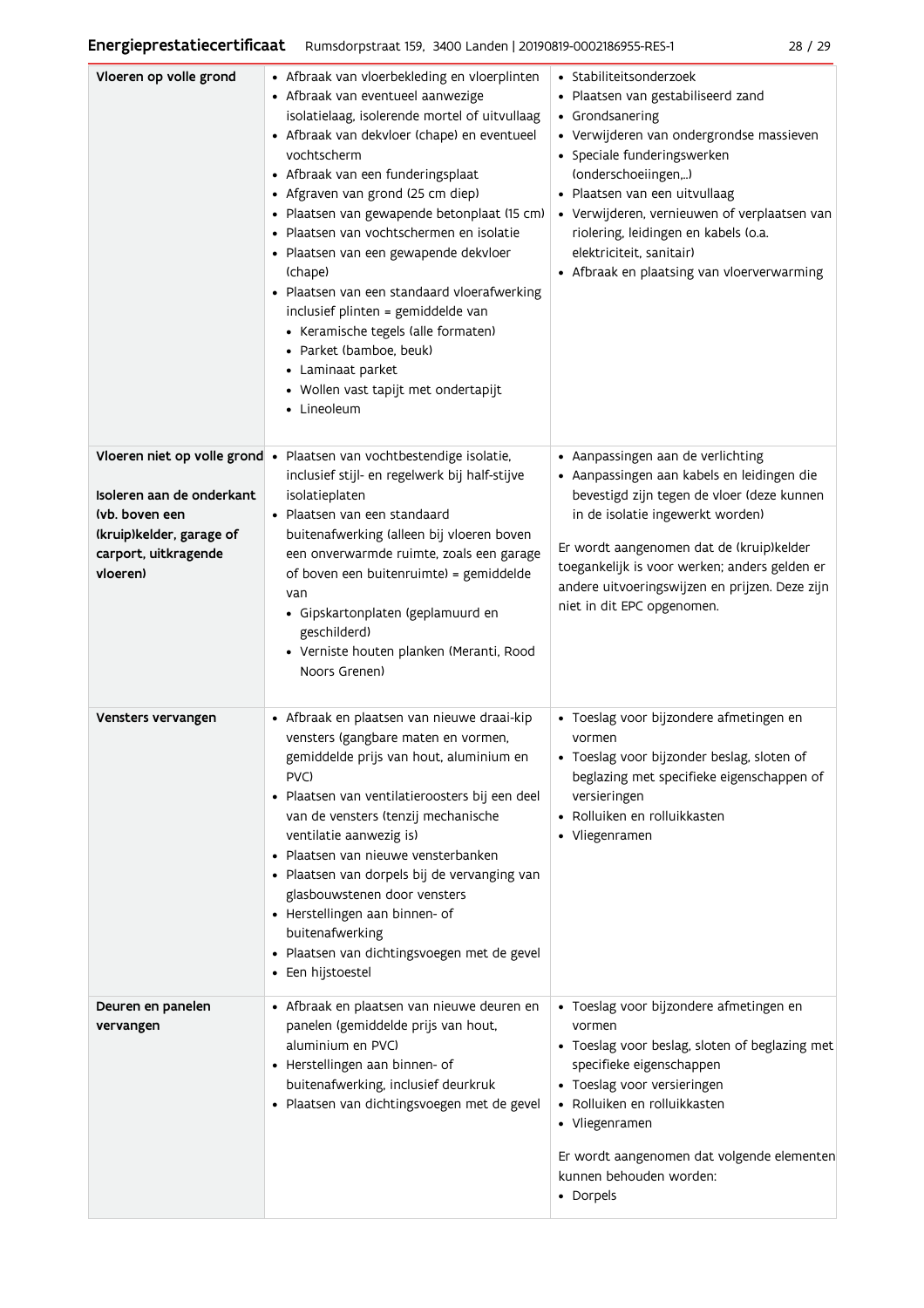| Vloeren op volle grond                                                                                                                       | • Afbraak van vloerbekleding en vloerplinten<br>• Afbraak van eventueel aanwezige<br>isolatielaag, isolerende mortel of uitvullaag<br>• Afbraak van dekvloer (chape) en eventueel<br>vochtscherm<br>• Afbraak van een funderingsplaat<br>• Afgraven van grond (25 cm diep)<br>· Plaatsen van gewapende betonplaat (15 cm)<br>· Plaatsen van vochtschermen en isolatie<br>· Plaatsen van een gewapende dekvloer<br>(chape)<br>• Plaatsen van een standaard vloerafwerking<br>inclusief plinten = gemiddelde van<br>• Keramische tegels (alle formaten)<br>· Parket (bamboe, beuk)<br>• Laminaat parket<br>· Wollen vast tapijt met ondertapijt<br>• Lineoleum | • Stabiliteitsonderzoek<br>· Plaatsen van gestabiliseerd zand<br>• Grondsanering<br>• Verwijderen van ondergrondse massieven<br>• Speciale funderingswerken<br>(onderschoeiingen,)<br>· Plaatsen van een uitvullaag<br>• Verwijderen, vernieuwen of verplaatsen van<br>riolering, leidingen en kabels (o.a.<br>elektriciteit, sanitair)<br>• Afbraak en plaatsing van vloerverwarming |
|----------------------------------------------------------------------------------------------------------------------------------------------|--------------------------------------------------------------------------------------------------------------------------------------------------------------------------------------------------------------------------------------------------------------------------------------------------------------------------------------------------------------------------------------------------------------------------------------------------------------------------------------------------------------------------------------------------------------------------------------------------------------------------------------------------------------|---------------------------------------------------------------------------------------------------------------------------------------------------------------------------------------------------------------------------------------------------------------------------------------------------------------------------------------------------------------------------------------|
| Vloeren niet op volle grond •<br>Isoleren aan de onderkant<br>(vb. boven een<br>(kruip)kelder, garage of<br>carport, uitkragende<br>vloeren) | Plaatsen van vochtbestendige isolatie,<br>inclusief stijl- en regelwerk bij half-stijve<br>isolatieplaten<br>• Plaatsen van een standaard<br>buitenafwerking (alleen bij vloeren boven<br>een onverwarmde ruimte, zoals een garage<br>of boven een buitenruimte) = gemiddelde<br>van<br>· Gipskartonplaten (geplamuurd en<br>geschilderd)<br>· Verniste houten planken (Meranti, Rood<br>Noors Grenen)                                                                                                                                                                                                                                                       | • Aanpassingen aan de verlichting<br>· Aanpassingen aan kabels en leidingen die<br>bevestigd zijn tegen de vloer (deze kunnen<br>in de isolatie ingewerkt worden)<br>Er wordt aangenomen dat de (kruip)kelder<br>toegankelijk is voor werken; anders gelden er<br>andere uitvoeringswijzen en prijzen. Deze zijn<br>niet in dit EPC opgenomen.                                        |
| Vensters vervangen                                                                                                                           | • Afbraak en plaatsen van nieuwe draai-kip<br>vensters (gangbare maten en vormen,<br>gemiddelde prijs van hout, aluminium en<br>PVC)<br>· Plaatsen van ventilatieroosters bij een deel<br>van de vensters (tenzij mechanische<br>ventilatie aanwezig is)<br>Plaatsen van nieuwe vensterbanken<br>· Plaatsen van dorpels bij de vervanging van<br>glasbouwstenen door vensters<br>• Herstellingen aan binnen- of<br>buitenafwerking<br>· Plaatsen van dichtingsvoegen met de gevel<br>• Een hijstoestel                                                                                                                                                       | · Toeslag voor bijzondere afmetingen en<br>vormen<br>· Toeslag voor bijzonder beslag, sloten of<br>beglazing met specifieke eigenschappen of<br>versieringen<br>• Rolluiken en rolluikkasten<br>• Vliegenramen                                                                                                                                                                        |
| Deuren en panelen<br>vervangen                                                                                                               | • Afbraak en plaatsen van nieuwe deuren en<br>panelen (gemiddelde prijs van hout,<br>aluminium en PVC)<br>• Herstellingen aan binnen- of<br>buitenafwerking, inclusief deurkruk<br>· Plaatsen van dichtingsvoegen met de gevel                                                                                                                                                                                                                                                                                                                                                                                                                               | • Toeslag voor bijzondere afmetingen en<br>vormen<br>• Toeslag voor beslag, sloten of beglazing met<br>specifieke eigenschappen<br>• Toeslag voor versieringen<br>• Rolluiken en rolluikkasten<br>• Vliegenramen<br>Er wordt aangenomen dat volgende elementen<br>kunnen behouden worden:<br>• Dorpels                                                                                |